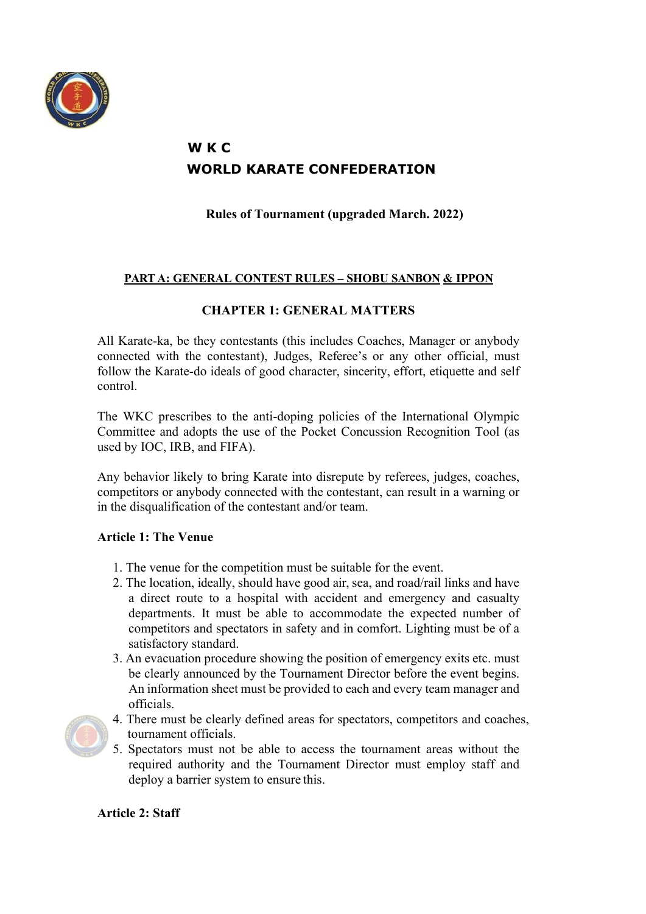

# **W K C WORLD KARATE CONFEDERATION**

**Rules of Tournament (upgraded March. 2022)**

# **PART A: GENERAL CONTEST RULES – SHOBU SANBON & IPPON**

# **CHAPTER 1: GENERAL MATTERS**

All Karate-ka, be they contestants (this includes Coaches, Manager or anybody connected with the contestant), Judges, Referee's or any other official, must follow the Karate-do ideals of good character, sincerity, effort, etiquette and self control.

The WKC prescribes to the anti-doping policies of the International Olympic Committee and adopts the use of the Pocket Concussion Recognition Tool (as used by IOC, IRB, and FIFA).

Any behavior likely to bring Karate into disrepute by referees, judges, coaches, competitors or anybody connected with the contestant, can result in a warning or in the disqualification of the contestant and/or team.

### **Article 1: The Venue**

- 1. The venue for the competition must be suitable for the event.
- 2. The location, ideally, should have good air, sea, and road/rail links and have a direct route to a hospital with accident and emergency and casualty departments. It must be able to accommodate the expected number of competitors and spectators in safety and in comfort. Lighting must be of a satisfactory standard.
- 3. An evacuation procedure showing the position of emergency exits etc. must be clearly announced by the Tournament Director before the event begins. An information sheet must be provided to each and every team manager and officials.
- 
- 4. There must be clearly defined areas for spectators, competitors and coaches, tournament officials.
- 5. Spectators must not be able to access the tournament areas without the required authority and the Tournament Director must employ staff and deploy a barrier system to ensure this.

# **Article 2: Staff**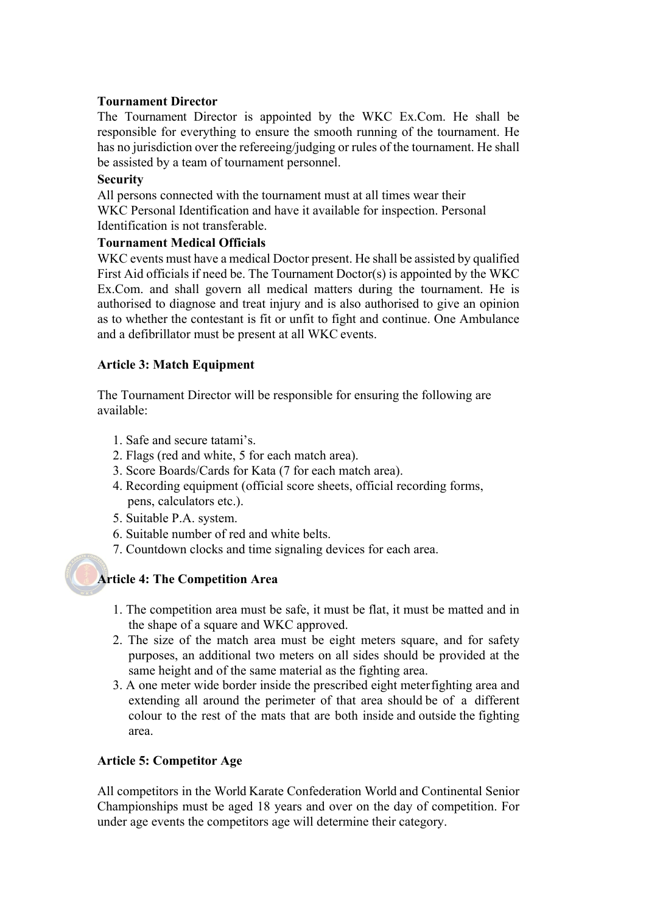### **Tournament Director**

The Tournament Director is appointed by the WKC Ex.Com. He shall be responsible for everything to ensure the smooth running of the tournament. He has no jurisdiction over the refereeing/judging or rules of the tournament. He shall be assisted by a team of tournament personnel.

### **Security**

All persons connected with the tournament must at all times wear their WKC Personal Identification and have it available for inspection. Personal Identification is not transferable.

### **Tournament Medical Officials**

WKC events must have a medical Doctor present. He shall be assisted by qualified First Aid officials if need be. The Tournament Doctor(s) is appointed by the WKC Ex.Com. and shall govern all medical matters during the tournament. He is authorised to diagnose and treat injury and is also authorised to give an opinion as to whether the contestant is fit or unfit to fight and continue. One Ambulance and a defibrillator must be present at all WKC events.

### **Article 3: Match Equipment**

The Tournament Director will be responsible for ensuring the following are available:

- 1. Safe and secure tatami's.
- 2. Flags (red and white, 5 for each match area).
- 3. Score Boards/Cards for Kata (7 for each match area).
- 4. Recording equipment (official score sheets, official recording forms, pens, calculators etc.).
- 5. Suitable P.A. system.
- 6. Suitable number of red and white belts.
- 7. Countdown clocks and time signaling devices for each area.

# **Article 4: The Competition Area**

- 1. The competition area must be safe, it must be flat, it must be matted and in the shape of a square and WKC approved.
- 2. The size of the match area must be eight meters square, and for safety purposes, an additional two meters on all sides should be provided at the same height and of the same material as the fighting area.
- 3. A one meter wide border inside the prescribed eight meterfighting area and extending all around the perimeter of that area should be of a different colour to the rest of the mats that are both inside and outside the fighting area.

# **Article 5: Competitor Age**

All competitors in the World Karate Confederation World and Continental Senior Championships must be aged 18 years and over on the day of competition. For under age events the competitors age will determine their category.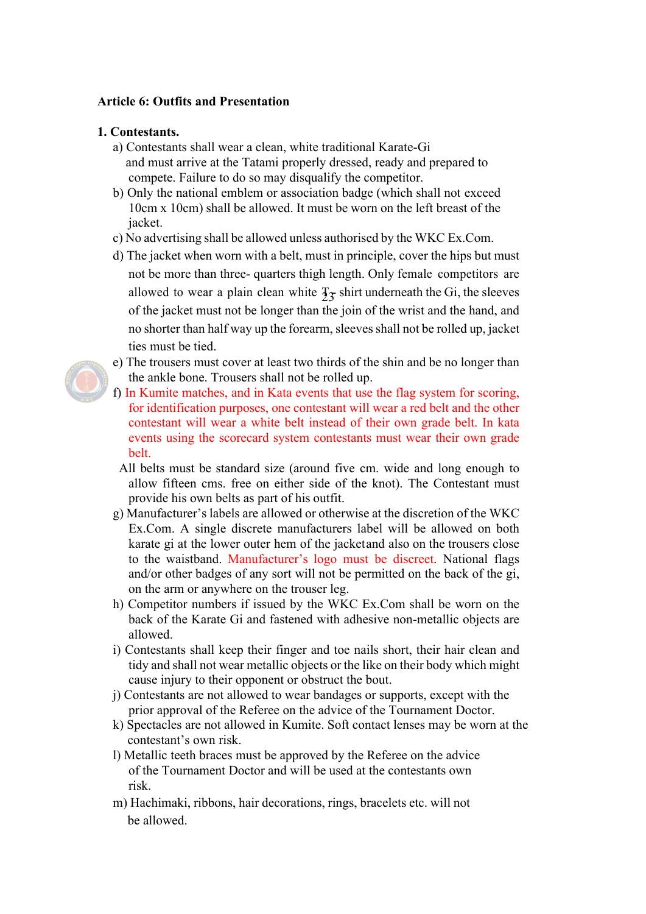### **Article 6: Outfits and Presentation**

#### **1. Contestants.**

- a) Contestants shall wear a clean, white traditional Karate-Gi and must arrive at the Tatami properly dressed, ready and prepared to compete. Failure to do so may disqualify the competitor.
- b) Only the national emblem or association badge (which shall not exceed 10cm x 10cm) shall be allowed. It must be worn on the left breast of the jacket.
- c) No advertising shall be allowed unless authorised by the WKC Ex.Com.
- d) The jacket when worn with a belt, must in principle, cover the hips but must not be more than three- quarters thigh length. Only female competitors are allowed to wear a plain clean white  $\frac{1}{2}$  shirt underneath the Gi, the sleeves of the jacket must not be longer than the join of the wrist and the hand, and no shorter than half way up the forearm, sleeves shall not be rolled up, jacket ties must be tied.
- e) The trousers must cover at least two thirds of the shin and be no longer than the ankle bone. Trousers shall not be rolled up.
- f) In Kumite matches, and in Kata events that use the flag system for scoring, for identification purposes, one contestant will wear a red belt and the other contestant will wear a white belt instead of their own grade belt. In kata events using the scorecard system contestants must wear their own grade belt.
- All belts must be standard size (around five cm. wide and long enough to allow fifteen cms. free on either side of the knot). The Contestant must provide his own belts as part of his outfit.
- g) Manufacturer's labels are allowed or otherwise at the discretion of the WKC Ex.Com. A single discrete manufacturers label will be allowed on both karate gi at the lower outer hem of the jacketand also on the trousers close to the waistband. Manufacturer's logo must be discreet. National flags and/or other badges of any sort will not be permitted on the back of the gi, on the arm or anywhere on the trouser leg.
- h) Competitor numbers if issued by the WKC Ex.Com shall be worn on the back of the Karate Gi and fastened with adhesive non-metallic objects are allowed.
- i) Contestants shall keep their finger and toe nails short, their hair clean and tidy and shall not wear metallic objects or the like on their body which might cause injury to their opponent or obstruct the bout.
- j) Contestants are not allowed to wear bandages or supports, except with the prior approval of the Referee on the advice of the Tournament Doctor.
- k) Spectacles are not allowed in Kumite. Soft contact lenses may be worn at the contestant's own risk.
- l) Metallic teeth braces must be approved by the Referee on the advice of the Tournament Doctor and will be used at the contestants own risk.
- m) Hachimaki, ribbons, hair decorations, rings, bracelets etc. will not be allowed.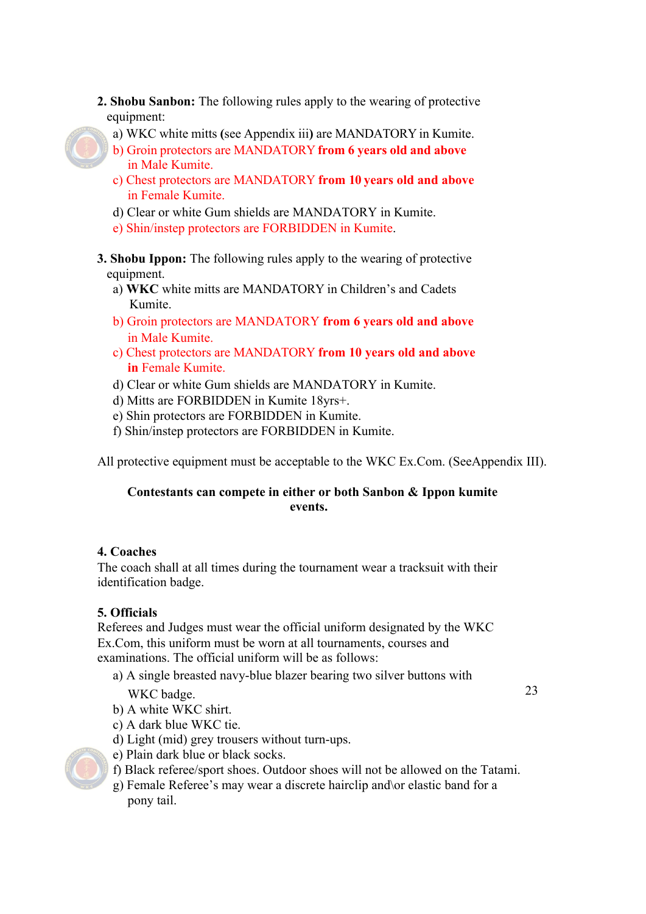- **2. Shobu Sanbon:** The following rules apply to the wearing of protective equipment:
	- a) WKC white mitts **(**see Appendix iii**)** are MANDATORY in Kumite.
	- b) Groin protectors are MANDATORY **from 6 years old and above** in Male Kumite.
	- c) Chest protectors are MANDATORY **from 10 years old and above**  in Female Kumite.
	- d) Clear or white Gum shields are MANDATORY in Kumite.
	- e) Shin/instep protectors are FORBIDDEN in Kumite.
- **3. Shobu Ippon:** The following rules apply to the wearing of protective equipment.
	- a) **WKC** white mitts are MANDATORY in Children's and Cadets Kumite.
	- b) Groin protectors are MANDATORY **from 6 years old and above** in Male Kumite.
	- c) Chest protectors are MANDATORY **from 10 years old and above in** Female Kumite.
	- d) Clear or white Gum shields are MANDATORY in Kumite.
	- d) Mitts are FORBIDDEN in Kumite 18yrs+.
	- e) Shin protectors are FORBIDDEN in Kumite.
	- f) Shin/instep protectors are FORBIDDEN in Kumite.

All protective equipment must be acceptable to the WKC Ex.Com. (SeeAppendix III).

# **Contestants can compete in either or both Sanbon & Ippon kumite events.**

# **4. Coaches**

The coach shall at all times during the tournament wear a tracksuit with their identification badge.

# **5. Officials**

Referees and Judges must wear the official uniform designated by the WKC Ex.Com, this uniform must be worn at all tournaments, courses and examinations. The official uniform will be as follows:

a) A single breasted navy-blue blazer bearing two silver buttons with

WKC badge. 23

- b) A white WKC shirt.
- c) A dark blue WKC tie.
- d) Light (mid) grey trousers without turn-ups.
- e) Plain dark blue or black socks.
- f) Black referee/sport shoes. Outdoor shoes will not be allowed on the Tatami.
- g) Female Referee's may wear a discrete hairclip and\or elastic band for a pony tail.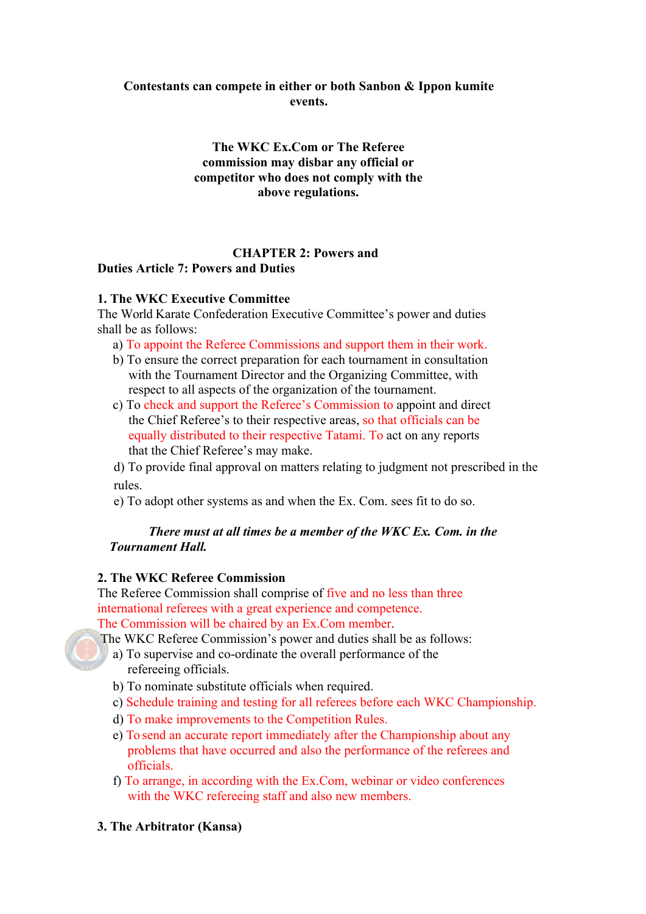# **Contestants can compete in either or both Sanbon & Ippon kumite events.**

**The WKC Ex.Com or The Referee commission may disbar any official or competitor who does not comply with the above regulations.**

### **CHAPTER 2: Powers and Duties Article 7: Powers and Duties**

### **1. The WKC Executive Committee**

The World Karate Confederation Executive Committee's power and duties shall be as follows:

- a) To appoint the Referee Commissions and support them in their work.
- b) To ensure the correct preparation for each tournament in consultation with the Tournament Director and the Organizing Committee, with respect to all aspects of the organization of the tournament.
- c) To check and support the Referee's Commission to appoint and direct the Chief Referee's to their respective areas, so that officials can be equally distributed to their respective Tatami. To act on any reports that the Chief Referee's may make.

d) To provide final approval on matters relating to judgment not prescribed in the rules.

e) To adopt other systems as and when the Ex. Com. sees fit to do so.

# *There must at all times be a member of the WKC Ex. Com. in the Tournament Hall.*

# **2. The WKC Referee Commission**

The Referee Commission shall comprise of five and no less than three international referees with a great experience and competence. The Commission will be chaired by an Ex.Com member.

The WKC Referee Commission's power and duties shall be as follows:

- a) To supervise and co-ordinate the overall performance of the refereeing officials.
- b) To nominate substitute officials when required.
- c) Schedule training and testing for all referees before each WKC Championship.
- d) To make improvements to the Competition Rules.
- e) To send an accurate report immediately after the Championship about any problems that have occurred and also the performance of the referees and officials.
- f) To arrange, in according with the Ex.Com, webinar or video conferences with the WKC refereeing staff and also new members.
- **3. The Arbitrator (Kansa)**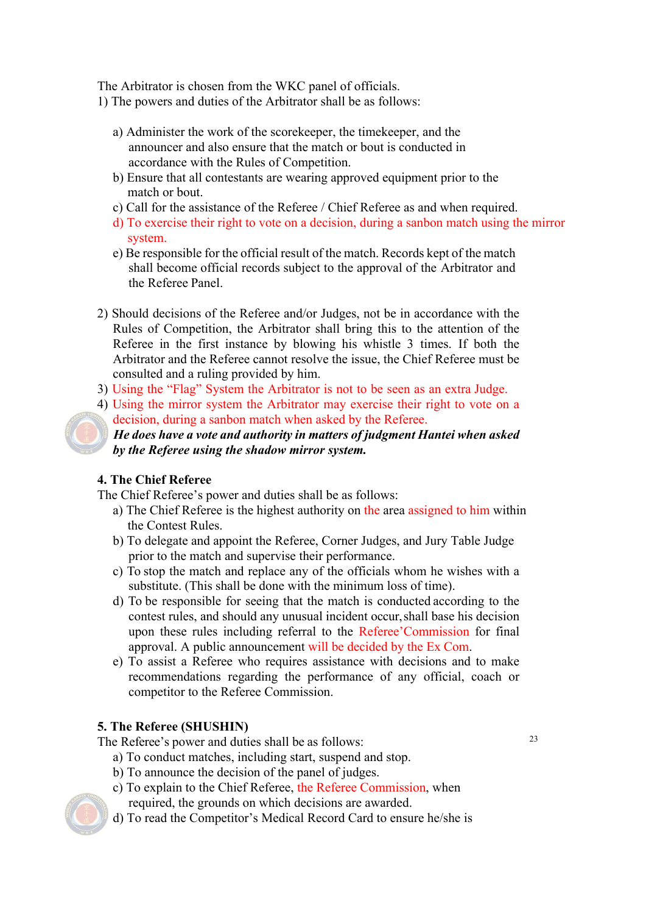The Arbitrator is chosen from the WKC panel of officials.

- 1) The powers and duties of the Arbitrator shall be as follows:
	- a) Administer the work of the scorekeeper, the timekeeper, and the announcer and also ensure that the match or bout is conducted in accordance with the Rules of Competition.
	- b) Ensure that all contestants are wearing approved equipment prior to the match or bout.
	- c) Call for the assistance of the Referee / Chief Referee as and when required.
	- d) To exercise their right to vote on a decision, during a sanbon match using the mirror system.
	- e) Be responsible for the official result of the match. Records kept of the match shall become official records subject to the approval of the Arbitrator and the Referee Panel.
- 2) Should decisions of the Referee and/or Judges, not be in accordance with the Rules of Competition, the Arbitrator shall bring this to the attention of the Referee in the first instance by blowing his whistle 3 times. If both the Arbitrator and the Referee cannot resolve the issue, the Chief Referee must be consulted and a ruling provided by him.
- 3) Using the "Flag" System the Arbitrator is not to be seen as an extra Judge.
- 4) Using the mirror system the Arbitrator may exercise their right to vote on a decision, during a sanbon match when asked by the Referee.

 *He does have a vote and authority in matters of judgment Hantei when asked by the Referee using the shadow mirror system.*

# **4. The Chief Referee**

The Chief Referee's power and duties shall be as follows:

- a) The Chief Referee is the highest authority on the area assigned to him within the Contest Rules.
- b) To delegate and appoint the Referee, Corner Judges, and Jury Table Judge prior to the match and supervise their performance.
- c) To stop the match and replace any of the officials whom he wishes with a substitute. (This shall be done with the minimum loss of time).
- d) To be responsible for seeing that the match is conducted according to the contest rules, and should any unusual incident occur,shall base his decision upon these rules including referral to the Referee'Commission for final approval. A public announcement will be decided by the Ex Com.
- e) To assist a Referee who requires assistance with decisions and to make recommendations regarding the performance of any official, coach or competitor to the Referee Commission.

# **5. The Referee (SHUSHIN)**

The Referee's power and duties shall be as follows:

- a) To conduct matches, including start, suspend and stop.
	- b) To announce the decision of the panel of judges.
	- c) To explain to the Chief Referee, the Referee Commission, when required, the grounds on which decisions are awarded.
	- d) To read the Competitor's Medical Record Card to ensure he/she is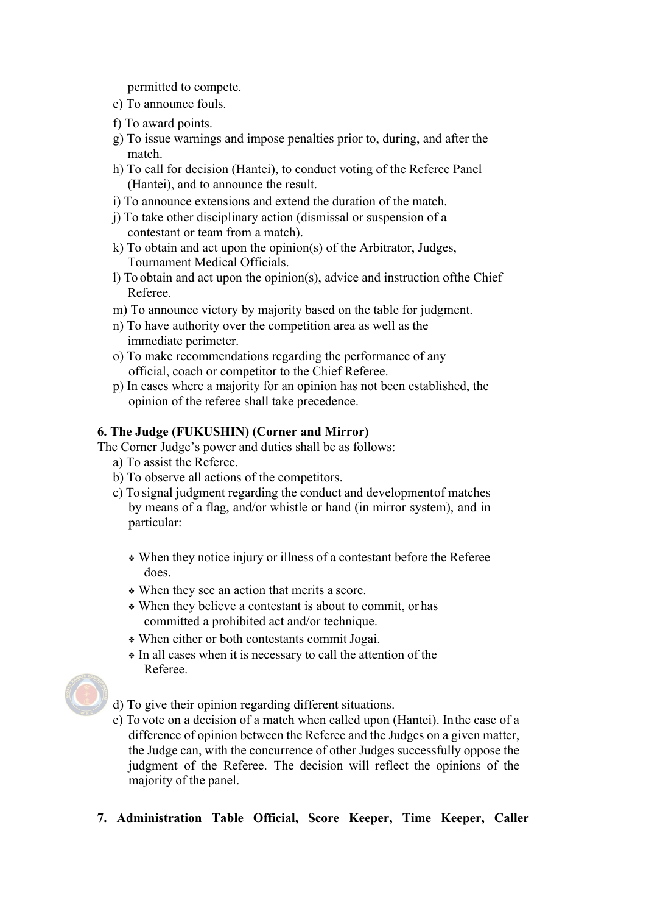permitted to compete.

- e) To announce fouls.
- f) To award points.
- g) To issue warnings and impose penalties prior to, during, and after the match.
- h) To call for decision (Hantei), to conduct voting of the Referee Panel (Hantei), and to announce the result.
- i) To announce extensions and extend the duration of the match.
- j) To take other disciplinary action (dismissal or suspension of a contestant or team from a match).
- k) To obtain and act upon the opinion(s) of the Arbitrator, Judges, Tournament Medical Officials.
- l) To obtain and act upon the opinion(s), advice and instruction ofthe Chief Referee.
- m) To announce victory by majority based on the table for judgment.
- n) To have authority over the competition area as well as the immediate perimeter.
- o) To make recommendations regarding the performance of any official, coach or competitor to the Chief Referee.
- p) In cases where a majority for an opinion has not been established, the opinion of the referee shall take precedence.

### **6. The Judge (FUKUSHIN) (Corner and Mirror)**

The Corner Judge's power and duties shall be as follows:

- a) To assist the Referee.
- b) To observe all actions of the competitors.
- c) To signal judgment regarding the conduct and developmentof matches by means of a flag, and/or whistle or hand (in mirror system), and in particular:
	- ❖ When they notice injury or illness of a contestant before the Referee does.
	- ❖ When they see an action that merits a score.
	- ❖ When they believe a contestant is about to commit, or has committed a prohibited act and/or technique.
	- ❖ When either or both contestants commit Jogai.
	- ❖ In all cases when it is necessary to call the attention of the Referee.



d) To give their opinion regarding different situations.

- e) To vote on a decision of a match when called upon (Hantei). Inthe case of a difference of opinion between the Referee and the Judges on a given matter, the Judge can, with the concurrence of other Judges successfully oppose the judgment of the Referee. The decision will reflect the opinions of the majority of the panel.
- **7. Administration Table Official, Score Keeper, Time Keeper, Caller**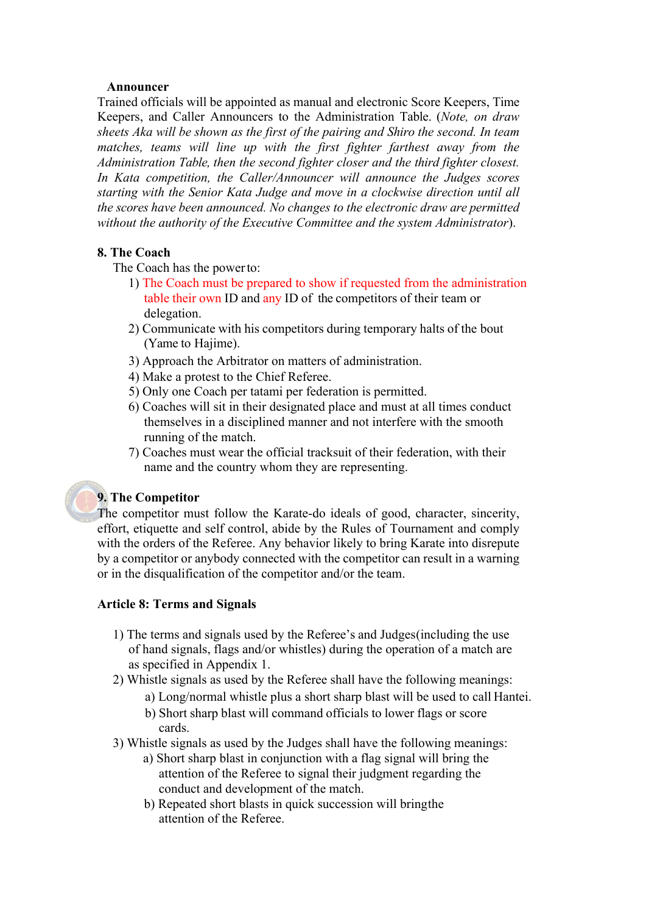### **Announcer**

Trained officials will be appointed as manual and electronic Score Keepers, Time Keepers, and Caller Announcers to the Administration Table. (*Note, on draw sheets Aka will be shown as the first of the pairing and Shiro the second. In team matches, teams will line up with the first fighter farthest away from the Administration Table, then the second fighter closer and the third fighter closest. In Kata competition, the Caller/Announcer will announce the Judges scores starting with the Senior Kata Judge and move in a clockwise direction until all the scores have been announced. No changes to the electronic draw are permitted without the authority of the Executive Committee and the system Administrator*).

#### **8. The Coach**

The Coach has the powerto:

- 1) The Coach must be prepared to show if requested from the administration table their own ID and any ID of the competitors of their team or delegation.
- 2) Communicate with his competitors during temporary halts of the bout (Yame to Haiime).
- 3) Approach the Arbitrator on matters of administration.
- 4) Make a protest to the Chief Referee.
- 5) Only one Coach per tatami per federation is permitted.
- 6) Coaches will sit in their designated place and must at all times conduct themselves in a disciplined manner and not interfere with the smooth running of the match.
- 7) Coaches must wear the official tracksuit of their federation, with their name and the country whom they are representing.

### **9. The Competitor**

The competitor must follow the Karate-do ideals of good, character, sincerity, effort, etiquette and self control, abide by the Rules of Tournament and comply with the orders of the Referee. Any behavior likely to bring Karate into disrepute by a competitor or anybody connected with the competitor can result in a warning or in the disqualification of the competitor and/or the team.

### **Article 8: Terms and Signals**

- 1) The terms and signals used by the Referee's and Judges(including the use of hand signals, flags and/or whistles) during the operation of a match are as specified in Appendix 1.
- 2) Whistle signals as used by the Referee shall have the following meanings:
	- a) Long/normal whistle plus a short sharp blast will be used to call Hantei.
	- b) Short sharp blast will command officials to lower flags or score cards.
- 3) Whistle signals as used by the Judges shall have the following meanings:
	- a) Short sharp blast in conjunction with a flag signal will bring the attention of the Referee to signal their judgment regarding the conduct and development of the match.
	- b) Repeated short blasts in quick succession will bringthe attention of the Referee.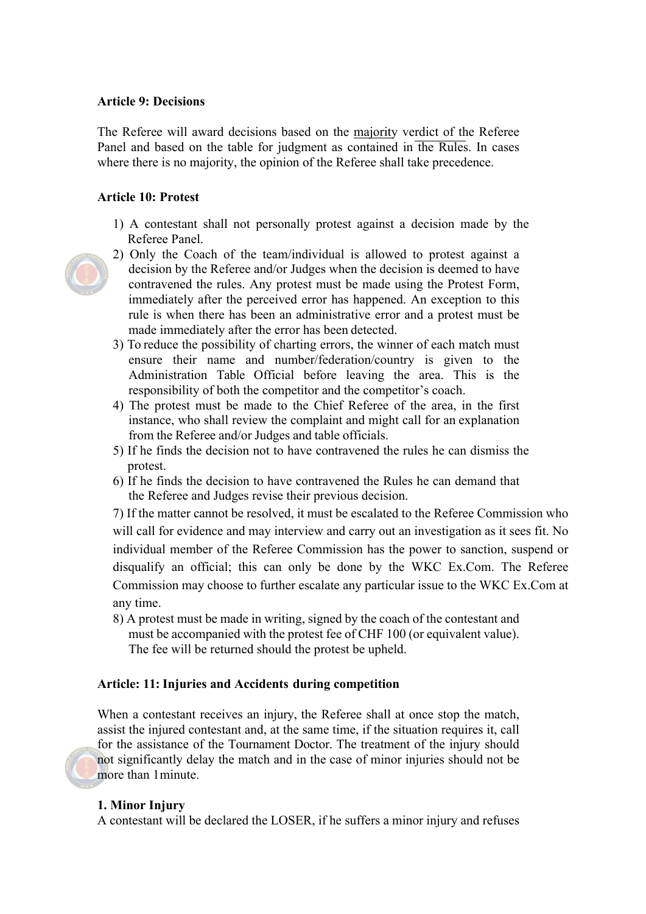### **Article 9: Decisions**

The Referee will award decisions based on the majority verdict of the Referee Panel and based on the table for judgment as contained in the Rules. In cases where there is no majority, the opinion of the Referee shall take precedence.

#### **Article 10: Protest**

- 1) A contestant shall not personally protest against a decision made by the Referee Panel.
- 
- 2) Only the Coach of the team/individual is allowed to protest against a decision by the Referee and/or Judges when the decision is deemed to have contravened the rules. Any protest must be made using the Protest Form, immediately after the perceived error has happened. An exception to this rule is when there has been an administrative error and a protest must be made immediately after the error has been detected.
- 3) To reduce the possibility of charting errors, the winner of each match must ensure their name and number/federation/country is given to the Administration Table Official before leaving the area. This is the responsibility of both the competitor and the competitor's coach.
- 4) The protest must be made to the Chief Referee of the area, in the first instance, who shall review the complaint and might call for an explanation from the Referee and/or Judges and table officials.
- 5) If he finds the decision not to have contravened the rules he can dismiss the protest.
- 6) If he finds the decision to have contravened the Rules he can demand that the Referee and Judges revise their previous decision.

7) If the matter cannot be resolved, it must be escalated to the Referee Commission who will call for evidence and may interview and carry out an investigation as it sees fit. No individual member of the Referee Commission has the power to sanction, suspend or disqualify an official; this can only be done by the WKC Ex.Com. The Referee Commission may choose to further escalate any particular issue to the WKC Ex.Com at any time.

8) A protest must be made in writing, signed by the coach of the contestant and must be accompanied with the protest fee of CHF 100 (or equivalent value). The fee will be returned should the protest be upheld.

#### **Article: 11: Injuries and Accidents during competition**

When a contestant receives an injury, the Referee shall at once stop the match, assist the injured contestant and, at the same time, if the situation requires it, call for the assistance of the Tournament Doctor. The treatment of the injury should not significantly delay the match and in the case of minor injuries should not be more than 1minute.

#### **1. Minor Injury**

A contestant will be declared the LOSER, if he suffers a minor injury and refuses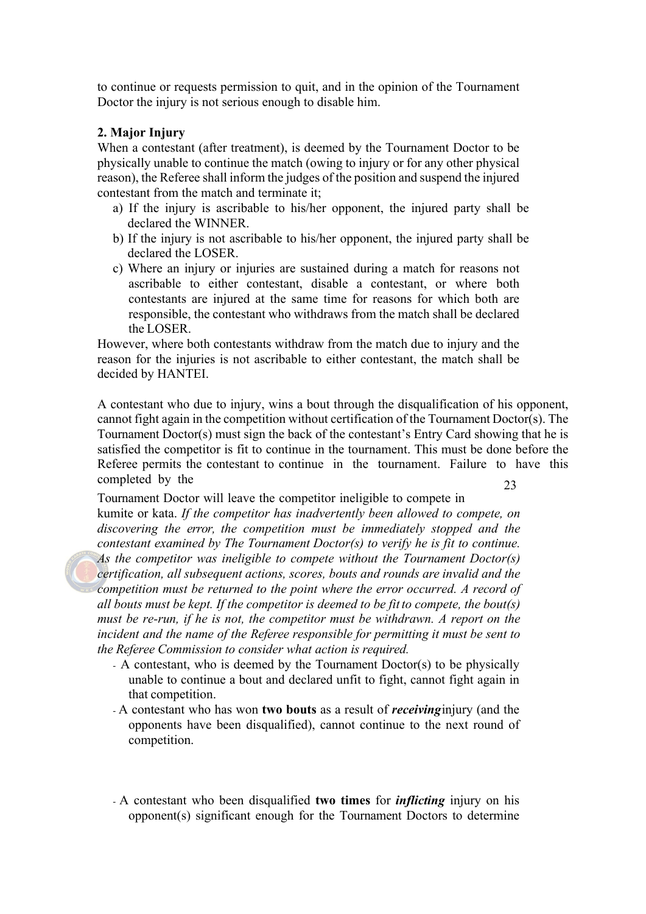to continue or requests permission to quit, and in the opinion of the Tournament Doctor the injury is not serious enough to disable him.

### **2. Major Injury**

When a contestant (after treatment), is deemed by the Tournament Doctor to be physically unable to continue the match (owing to injury or for any other physical reason), the Referee shall inform the judges of the position and suspend the injured contestant from the match and terminate it;

- a) If the injury is ascribable to his/her opponent, the injured party shall be declared the WINNER.
- b) If the injury is not ascribable to his/her opponent, the injured party shall be declared the LOSER.
- c) Where an injury or injuries are sustained during a match for reasons not ascribable to either contestant, disable a contestant, or where both contestants are injured at the same time for reasons for which both are responsible, the contestant who withdraws from the match shall be declared the LOSER.

However, where both contestants withdraw from the match due to injury and the reason for the injuries is not ascribable to either contestant, the match shall be decided by HANTEI.

A contestant who due to injury, wins a bout through the disqualification of his opponent, cannot fight again in the competition without certification of the Tournament Doctor(s). The Tournament Doctor(s) must sign the back of the contestant's Entry Card showing that he is satisfied the competitor is fit to continue in the tournament. This must be done before the Referee permits the contestant to continue in the tournament. Failure to have this completed by the 23

Tournament Doctor will leave the competitor ineligible to compete in kumite or kata. *If the competitor has inadvertently been allowed to compete, on discovering the error, the competition must be immediately stopped and the contestant examined by The Tournament Doctor(s) to verify he is fit to continue. As the competitor was ineligible to compete without the Tournament Doctor(s) certification, all subsequent actions, scores, bouts and rounds are invalid and the competition must be returned to the point where the error occurred. A record of all bouts must be kept. If the competitor is deemed to be fit to compete, the bout(s) must be re-run, if he is not, the competitor must be withdrawn. A report on the incident and the name of the Referee responsible for permitting it must be sent to the Referee Commission to consider what action is required.*

- A contestant, who is deemed by the Tournament Doctor(s) to be physically unable to continue a bout and declared unfit to fight, cannot fight again in that competition.
- A contestant who has won **two bouts** as a result of *receiving*injury (and the opponents have been disqualified), cannot continue to the next round of competition.
- A contestant who been disqualified **two times** for *inflicting* injury on his opponent(s) significant enough for the Tournament Doctors to determine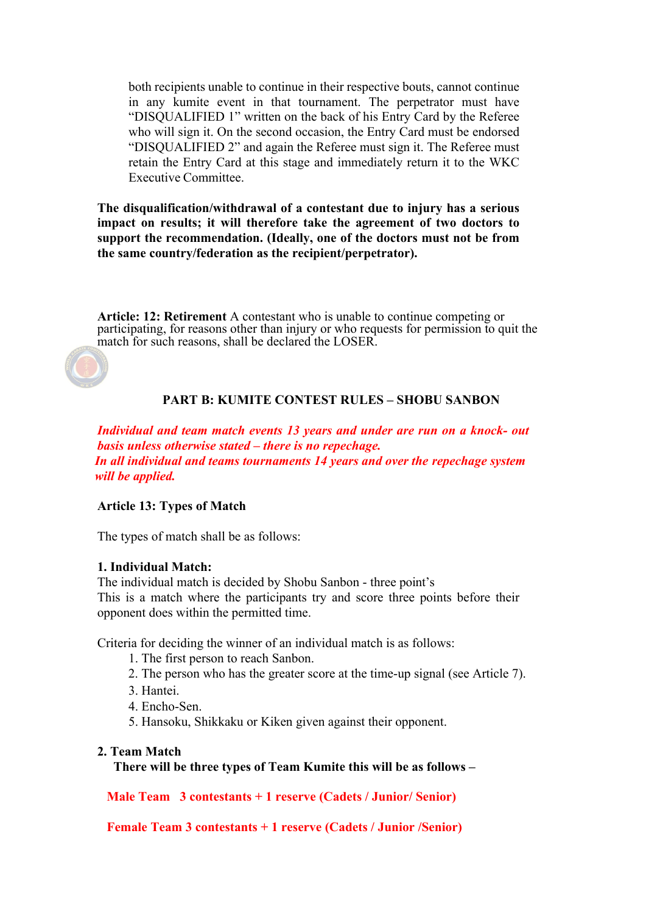both recipients unable to continue in their respective bouts, cannot continue in any kumite event in that tournament. The perpetrator must have "DISQUALIFIED 1" written on the back of his Entry Card by the Referee who will sign it. On the second occasion, the Entry Card must be endorsed "DISQUALIFIED 2" and again the Referee must sign it. The Referee must retain the Entry Card at this stage and immediately return it to the WKC Executive Committee.

**The disqualification/withdrawal of a contestant due to injury has a serious impact on results; it will therefore take the agreement of two doctors to support the recommendation. (Ideally, one of the doctors must not be from the same country/federation as the recipient/perpetrator).**

**Article: 12: Retirement** A contestant who is unable to continue competing or participating, for reasons other than injury or who requests for permission to quit the match for such reasons, shall be declared the LOSER.



# **PART B: KUMITE CONTEST RULES – SHOBU SANBON**

*Individual and team match events 13 years and under are run on a knock- out basis unless otherwise stated – there is no repechage. In all individual and teams tournaments 14 years and over the repechage system will be applied.*

### **Article 13: Types of Match**

The types of match shall be as follows:

#### **1. Individual Match:**

The individual match is decided by Shobu Sanbon - three point's This is a match where the participants try and score three points before their opponent does within the permitted time.

Criteria for deciding the winner of an individual match is as follows:

- 1. The first person to reach Sanbon.
- 2. The person who has the greater score at the time-up signal (see Article 7).
- 3. Hantei.
- 4. Encho-Sen.
- 5. Hansoku, Shikkaku or Kiken given against their opponent.

#### **2. Team Match**

 **There will be three types of Team Kumite this will be as follows –**

**Male Team 3 contestants + 1 reserve (Cadets / Junior/ Senior)**

**Female Team 3 contestants + 1 reserve (Cadets / Junior /Senior)**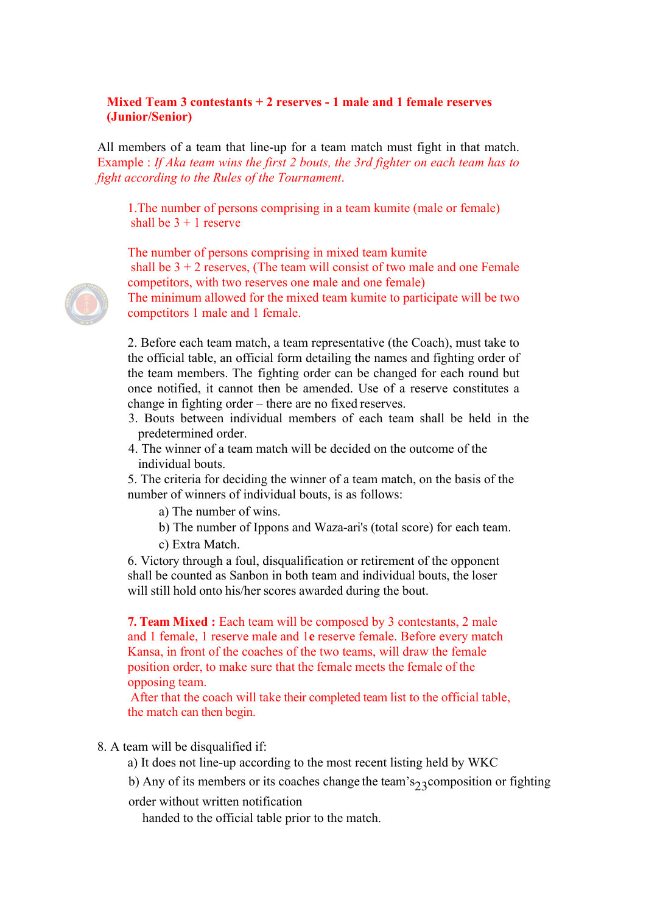## **Mixed Team 3 contestants + 2 reserves - 1 male and 1 female reserves (Junior/Senior)**

All members of a team that line-up for a team match must fight in that match. Example : *If Aka team wins the first 2 bouts, the 3rd fighter on each team has to fight according to the Rules of the Tournament*.

1.The number of persons comprising in a team kumite (male or female) shall be  $3 + 1$  reserve

The number of persons comprising in mixed team kumite

shall be  $3 + 2$  reserves, (The team will consist of two male and one Female competitors, with two reserves one male and one female)

The minimum allowed for the mixed team kumite to participate will be two competitors 1 male and 1 female.

2. Before each team match, a team representative (the Coach), must take to the official table, an official form detailing the names and fighting order of the team members. The fighting order can be changed for each round but once notified, it cannot then be amended. Use of a reserve constitutes a change in fighting order – there are no fixed reserves.

- 3. Bouts between individual members of each team shall be held in the predetermined order.
- 4. The winner of a team match will be decided on the outcome of the individual bouts.

5. The criteria for deciding the winner of a team match, on the basis of the number of winners of individual bouts, is as follows:

a) The number of wins.

- b) The number of Ippons and Waza-ari's (total score) for each team.
- c) Extra Match.

6. Victory through a foul, disqualification or retirement of the opponent shall be counted as Sanbon in both team and individual bouts, the loser will still hold onto his/her scores awarded during the bout.

**7. Team Mixed :** Each team will be composed by 3 contestants, 2 male and 1 female, 1 reserve male and 1**e** reserve female. Before every match Kansa, in front of the coaches of the two teams, will draw the female position order, to make sure that the female meets the female of the opposing team.

After that the coach will take their completed team list to the official table, the match can then begin.

### 8. A team will be disqualified if:

- a) It does not line-up according to the most recent listing held by WKC
- b) Any of its members or its coaches change the team's<sub>23</sub> composition or fighting
- order without written notification

handed to the official table prior to the match.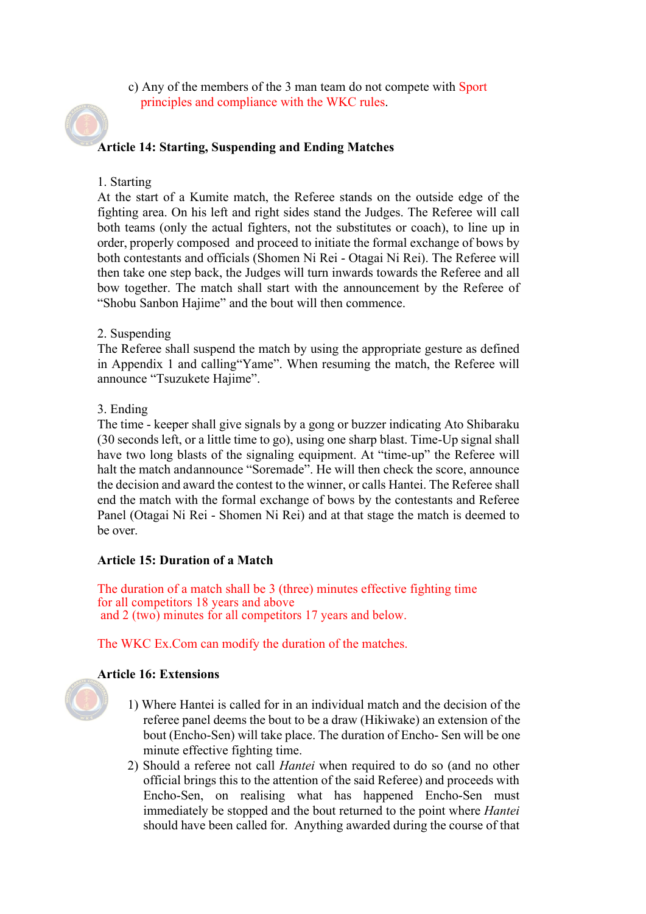c) Any of the members of the 3 man team do not compete with Sport principles and compliance with the WKC rules.

# **Article 14: Starting, Suspending and Ending Matches**

### 1. Starting

At the start of a Kumite match, the Referee stands on the outside edge of the fighting area. On his left and right sides stand the Judges. The Referee will call both teams (only the actual fighters, not the substitutes or coach), to line up in order, properly composed and proceed to initiate the formal exchange of bows by both contestants and officials (Shomen Ni Rei - Otagai Ni Rei). The Referee will then take one step back, the Judges will turn inwards towards the Referee and all bow together. The match shall start with the announcement by the Referee of "Shobu Sanbon Hajime" and the bout will then commence.

### 2. Suspending

The Referee shall suspend the match by using the appropriate gesture as defined in Appendix 1 and calling"Yame". When resuming the match, the Referee will announce "Tsuzukete Hajime".

### 3. Ending

The time - keeper shall give signals by a gong or buzzer indicating Ato Shibaraku (30 seconds left, or a little time to go), using one sharp blast. Time-Up signal shall have two long blasts of the signaling equipment. At "time-up" the Referee will halt the match andannounce "Soremade". He will then check the score, announce the decision and award the contest to the winner, or calls Hantei. The Referee shall end the match with the formal exchange of bows by the contestants and Referee Panel (Otagai Ni Rei - Shomen Ni Rei) and at that stage the match is deemed to be over.

### **Article 15: Duration of a Match**

The duration of a match shall be 3 (three) minutes effective fighting time for all competitors 18 years and above and 2 (two) minutes for all competitors 17 years and below.

The WKC Ex.Com can modify the duration of the matches.

# **Article 16: Extensions**

- 1) Where Hantei is called for in an individual match and the decision of the referee panel deems the bout to be a draw (Hikiwake) an extension of the bout (Encho-Sen) will take place. The duration of Encho- Sen will be one minute effective fighting time.
- 2) Should a referee not call *Hantei* when required to do so (and no other official brings this to the attention of the said Referee) and proceeds with Encho-Sen, on realising what has happened Encho-Sen must immediately be stopped and the bout returned to the point where *Hantei*  should have been called for. Anything awarded during the course of that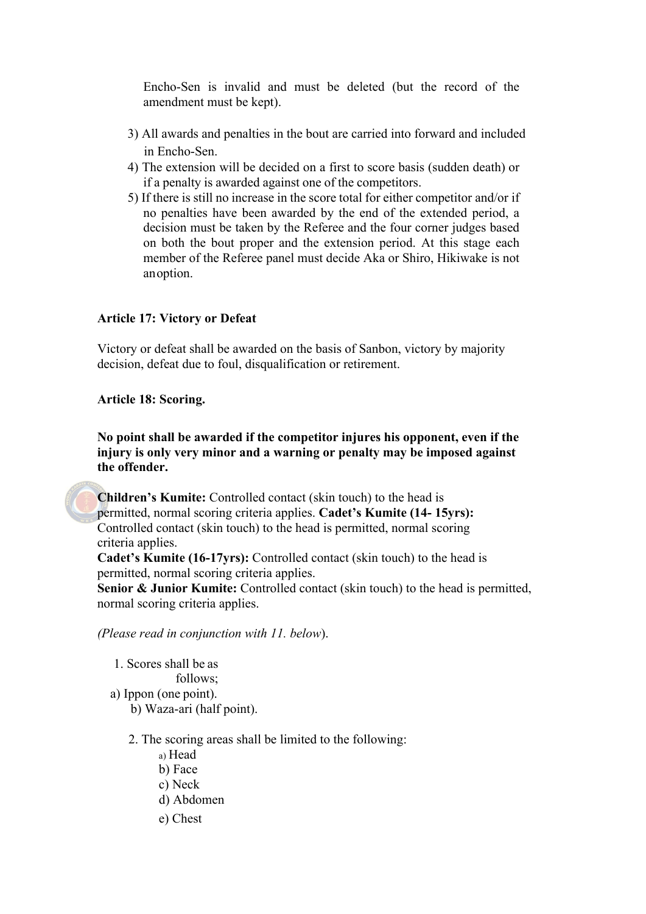Encho-Sen is invalid and must be deleted (but the record of the amendment must be kept).

- 3) All awards and penalties in the bout are carried into forward and included in Encho-Sen.
- 4) The extension will be decided on a first to score basis (sudden death) or if a penalty is awarded against one of the competitors.
- 5) If there is still no increase in the score total for either competitor and/or if no penalties have been awarded by the end of the extended period, a decision must be taken by the Referee and the four corner judges based on both the bout proper and the extension period. At this stage each member of the Referee panel must decide Aka or Shiro, Hikiwake is not anoption.

# **Article 17: Victory or Defeat**

Victory or defeat shall be awarded on the basis of Sanbon, victory by majority decision, defeat due to foul, disqualification or retirement.

### **Article 18: Scoring.**

**No point shall be awarded if the competitor injures his opponent, even if the injury is only very minor and a warning or penalty may be imposed against the offender.**

**Children's Kumite:** Controlled contact (skin touch) to the head is permitted, normal scoring criteria applies. **Cadet's Kumite (14- 15yrs):**  Controlled contact (skin touch) to the head is permitted, normal scoring criteria applies.

**Cadet's Kumite (16-17yrs):** Controlled contact (skin touch) to the head is permitted, normal scoring criteria applies.

**Senior & Junior Kumite:** Controlled contact (skin touch) to the head is permitted, normal scoring criteria applies.

*(Please read in conjunction with 11. below*).

1. Scores shall be as follows; a) Ippon (one point). b) Waza-ari (half point).

- 2. The scoring areas shall be limited to the following:
	- a) Head
	- b) Face
	- c) Neck
	- d) Abdomen
	- e) Chest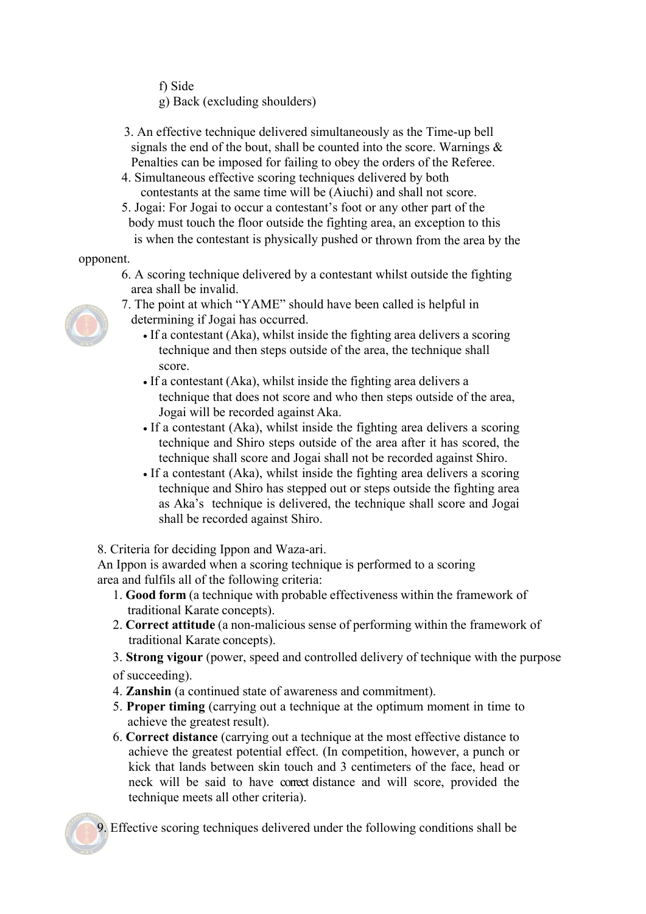f) Side

g) Back (excluding shoulders)

- 3. An effective technique delivered simultaneously as the Time-up bell signals the end of the bout, shall be counted into the score. Warnings  $\&$ Penalties can be imposed for failing to obey the orders of the Referee.
- 4. Simultaneous effective scoring techniques delivered by both contestants at the same time will be (Aiuchi) and shall not score.
- 5. Jogai: For Jogai to occur a contestant's foot or any other part of the body must touch the floor outside the fighting area, an exception to this is when the contestant is physically pushed or thrown from the area by the

opponent.

- 6. A scoring technique delivered by a contestant whilst outside the fighting area shall be invalid.
- 7. The point at which "YAME" should have been called is helpful in
- 
- determining if Jogai has occurred.
	- If a contestant (Aka), whilst inside the fighting area delivers a scoring technique and then steps outside of the area, the technique shall score.
	- If a contestant (Aka), whilst inside the fighting area delivers a technique that does not score and who then steps outside of the area, Jogai will be recorded against Aka.
	- If a contestant (Aka), whilst inside the fighting area delivers a scoring technique and Shiro steps outside of the area after it has scored, the technique shall score and Jogai shall not be recorded against Shiro.
	- If a contestant (Aka), whilst inside the fighting area delivers a scoring technique and Shiro has stepped out or steps outside the fighting area as Aka's technique is delivered, the technique shall score and Jogai shall be recorded against Shiro.

8. Criteria for deciding Ippon and Waza-ari.

An Ippon is awarded when a scoring technique is performed to a scoring area and fulfils all of the following criteria:

- 1. **Good form** (a technique with probable effectiveness within the framework of traditional Karate concepts).
- 2. **Correct attitude** (a non-malicious sense of performing within the framework of traditional Karate concepts).

3. **Strong vigour** (power, speed and controlled delivery of technique with the purpose of succeeding).

- 4. **Zanshin** (a continued state of awareness and commitment).
- 5. **Proper timing** (carrying out a technique at the optimum moment in time to achieve the greatest result).
- 6. **Correct distance** (carrying out a technique at the most effective distance to achieve the greatest potential effect. (In competition, however, a punch or kick that lands between skin touch and 3 centimeters of the face, head or neck will be said to have correct distance and will score, provided the technique meets all other criteria).

9. Effective scoring techniques delivered under the following conditions shall be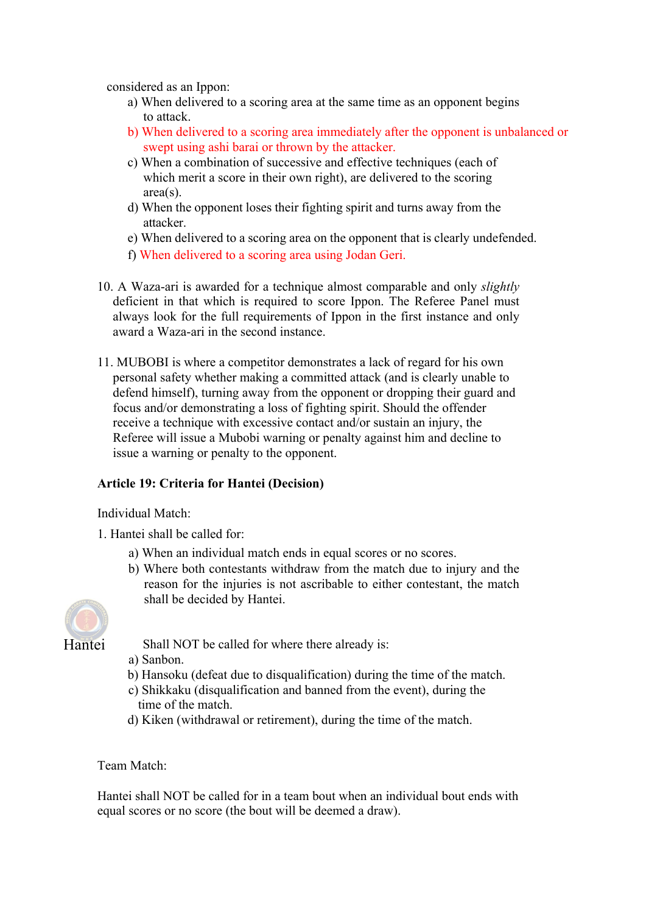considered as an Ippon:

- a) When delivered to a scoring area at the same time as an opponent begins to attack.
- b) When delivered to a scoring area immediately after the opponent is unbalanced or swept using ashi barai or thrown by the attacker.
- c) When a combination of successive and effective techniques (each of which merit a score in their own right), are delivered to the scoring area(s).
- d) When the opponent loses their fighting spirit and turns away from the attacker.
- e) When delivered to a scoring area on the opponent that is clearly undefended.
- f) When delivered to a scoring area using Jodan Geri.
- 10. A Waza-ari is awarded for a technique almost comparable and only *slightly*  deficient in that which is required to score Ippon. The Referee Panel must always look for the full requirements of Ippon in the first instance and only award a Waza-ari in the second instance.
- 11. MUBOBI is where a competitor demonstrates a lack of regard for his own personal safety whether making a committed attack (and is clearly unable to defend himself), turning away from the opponent or dropping their guard and focus and/or demonstrating a loss of fighting spirit. Should the offender receive a technique with excessive contact and/or sustain an injury, the Referee will issue a Mubobi warning or penalty against him and decline to issue a warning or penalty to the opponent.

# **Article 19: Criteria for Hantei (Decision)**

Individual Match:

- 1. Hantei shall be called for:
	- a) When an individual match ends in equal scores or no scores.
	- b) Where both contestants withdraw from the match due to injury and the reason for the injuries is not ascribable to either contestant, the match shall be decided by Hantei.



Shall NOT be called for where there already is:

a) Sanbon.

- b) Hansoku (defeat due to disqualification) during the time of the match.
- c) Shikkaku (disqualification and banned from the event), during the time of the match.
- d) Kiken (withdrawal or retirement), during the time of the match.

Team Match:

Hantei shall NOT be called for in a team bout when an individual bout ends with equal scores or no score (the bout will be deemed a draw).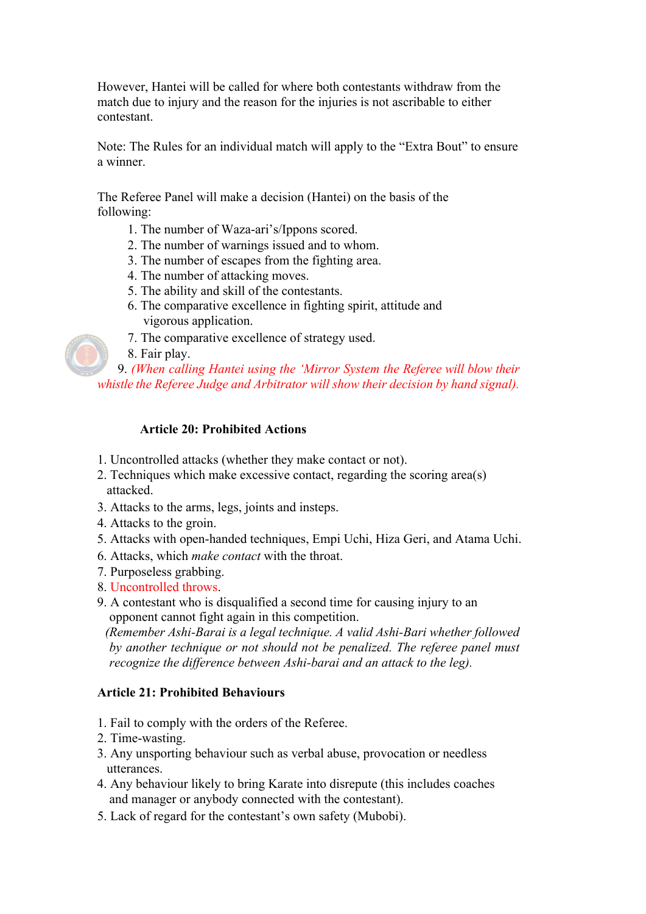However, Hantei will be called for where both contestants withdraw from the match due to injury and the reason for the injuries is not ascribable to either contestant.

Note: The Rules for an individual match will apply to the "Extra Bout" to ensure a winner.

The Referee Panel will make a decision (Hantei) on the basis of the following:

- 1. The number of Waza-ari's/Ippons scored.
- 2. The number of warnings issued and to whom.
- 3. The number of escapes from the fighting area.
- 4. The number of attacking moves.
- 5. The ability and skill of the contestants.
- 6. The comparative excellence in fighting spirit, attitude and vigorous application.
- 7. The comparative excellence of strategy used.
- 8. Fair play.

9. *(When calling Hantei using the 'Mirror System the Referee will blow their whistle the Referee Judge and Arbitrator will show their decision by hand signal).*

### **Article 20: Prohibited Actions**

- 1. Uncontrolled attacks (whether they make contact or not).
- 2. Techniques which make excessive contact, regarding the scoring area(s) attacked.
- 3. Attacks to the arms, legs, joints and insteps.
- 4. Attacks to the groin.
- 5. Attacks with open-handed techniques, Empi Uchi, Hiza Geri, and Atama Uchi.
- 6. Attacks, which *make contact* with the throat.
- 7. Purposeless grabbing.
- 8. Uncontrolled throws.
- 9. A contestant who is disqualified a second time for causing injury to an opponent cannot fight again in this competition.

*(Remember Ashi-Barai is a legal technique. A valid Ashi-Bari whether followed by another technique or not should not be penalized. The referee panel must recognize the difference between Ashi-barai and an attack to the leg).*

#### **Article 21: Prohibited Behaviours**

- 1. Fail to comply with the orders of the Referee.
- 2. Time-wasting.
- 3. Any unsporting behaviour such as verbal abuse, provocation or needless utterances.
- 4. Any behaviour likely to bring Karate into disrepute (this includes coaches and manager or anybody connected with the contestant).
- 5. Lack of regard for the contestant's own safety (Mubobi).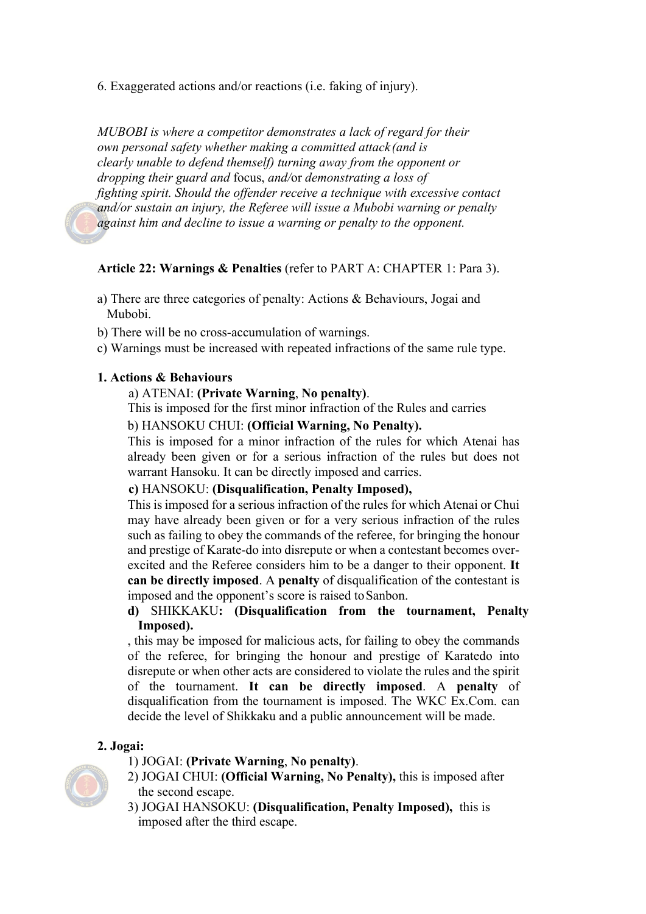6. Exaggerated actions and/or reactions (i.e. faking of injury).

*MUBOBI is where a competitor demonstrates a lack of regard for their own personal safety whether making a committed attack (and is clearly unable to defend themself) turning away from the opponent or dropping their guard and* focus, *and/*or *demonstrating a loss of fighting spirit. Should the offender receive a technique with excessive contact and/or sustain an injury, the Referee will issue a Mubobi warning or penalty against him and decline to issue a warning or penalty to the opponent.*

#### **Article 22: Warnings & Penalties** (refer to PART A: CHAPTER 1: Para 3).

- a) There are three categories of penalty: Actions & Behaviours, Jogai and Mubobi.
- b) There will be no cross-accumulation of warnings.
- c) Warnings must be increased with repeated infractions of the same rule type.

#### **1. Actions & Behaviours**

#### a) ATENAI: **(Private Warning**, **No penalty)**.

This is imposed for the first minor infraction of the Rules and carries

b) HANSOKU CHUI: **(Official Warning, No Penalty).**

This is imposed for a minor infraction of the rules for which Atenai has already been given or for a serious infraction of the rules but does not warrant Hansoku. It can be directly imposed and carries.

#### **c)** HANSOKU: **(Disqualification, Penalty Imposed),**

This is imposed for a serious infraction of the rules for which Atenai or Chui may have already been given or for a very serious infraction of the rules such as failing to obey the commands of the referee, for bringing the honour and prestige of Karate-do into disrepute or when a contestant becomes overexcited and the Referee considers him to be a danger to their opponent. **It can be directly imposed**. A **penalty** of disqualification of the contestant is imposed and the opponent's score is raised to Sanbon.

# **d)** SHIKKAKU**: (Disqualification from the tournament, Penalty Imposed).**

, this may be imposed for malicious acts, for failing to obey the commands of the referee, for bringing the honour and prestige of Karatedo into disrepute or when other acts are considered to violate the rules and the spirit of the tournament. **It can be directly imposed**. A **penalty** of disqualification from the tournament is imposed. The WKC Ex.Com. can decide the level of Shikkaku and a public announcement will be made.

#### **2. Jogai:**

- 1) JOGAI: **(Private Warning**, **No penalty)**.
- 2) JOGAI CHUI: **(Official Warning, No Penalty),** this is imposed after the second escape.
- 3) JOGAI HANSOKU: **(Disqualification, Penalty Imposed),** this is imposed after the third escape.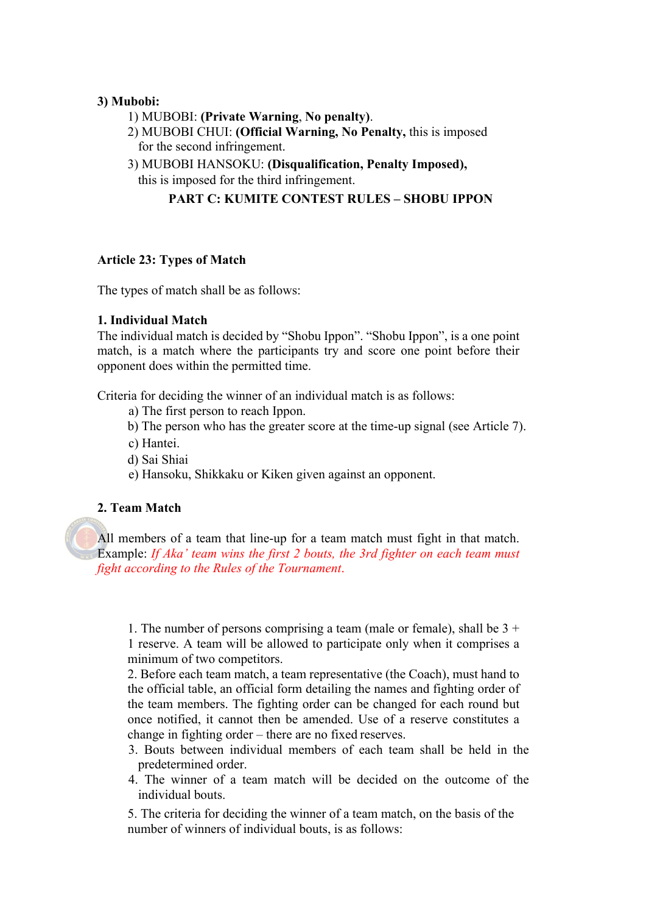### **3) Mubobi:**

- 1) MUBOBI: **(Private Warning**, **No penalty)**.
- 2) MUBOBI CHUI: **(Official Warning, No Penalty,** this is imposed for the second infringement.
- 3) MUBOBI HANSOKU: **(Disqualification, Penalty Imposed),**
	- this is imposed for the third infringement.

# **PART C: KUMITE CONTEST RULES – SHOBU IPPON**

### **Article 23: Types of Match**

The types of match shall be as follows:

### **1. Individual Match**

The individual match is decided by "Shobu Ippon". "Shobu Ippon", is a one point match, is a match where the participants try and score one point before their opponent does within the permitted time.

Criteria for deciding the winner of an individual match is as follows:

- a) The first person to reach Ippon.
- b) The person who has the greater score at the time-up signal (see Article 7).
- c) Hantei.
- d) Sai Shiai
- e) Hansoku, Shikkaku or Kiken given against an opponent.

# **2. Team Match**

All members of a team that line-up for a team match must fight in that match. Example: *If Aka' team wins the first 2 bouts, the 3rd fighter on each team must fight according to the Rules of the Tournament*.

1. The number of persons comprising a team (male or female), shall be  $3 +$ 1 reserve. A team will be allowed to participate only when it comprises a minimum of two competitors.

2. Before each team match, a team representative (the Coach), must hand to the official table, an official form detailing the names and fighting order of the team members. The fighting order can be changed for each round but once notified, it cannot then be amended. Use of a reserve constitutes a change in fighting order – there are no fixed reserves.

- 3. Bouts between individual members of each team shall be held in the predetermined order.
- 4. The winner of a team match will be decided on the outcome of the individual bouts.

5. The criteria for deciding the winner of a team match, on the basis of the number of winners of individual bouts, is as follows: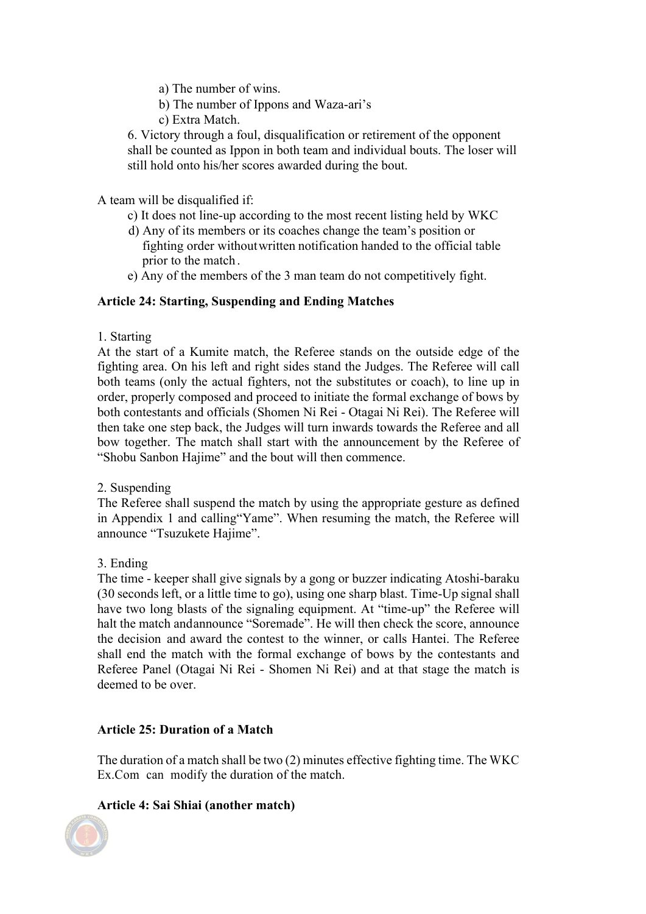- a) The number of wins.
- b) The number of Ippons and Waza-ari's
- c) Extra Match.

6. Victory through a foul, disqualification or retirement of the opponent shall be counted as Ippon in both team and individual bouts. The loser will still hold onto his/her scores awarded during the bout.

### A team will be disqualified if:

- c) It does not line-up according to the most recent listing held by WKC
- d) Any of its members or its coaches change the team's position or fighting order withoutwritten notification handed to the official table prior to the match .
- e) Any of the members of the 3 man team do not competitively fight.

### **Article 24: Starting, Suspending and Ending Matches**

1. Starting

At the start of a Kumite match, the Referee stands on the outside edge of the fighting area. On his left and right sides stand the Judges. The Referee will call both teams (only the actual fighters, not the substitutes or coach), to line up in order, properly composed and proceed to initiate the formal exchange of bows by both contestants and officials (Shomen Ni Rei - Otagai Ni Rei). The Referee will then take one step back, the Judges will turn inwards towards the Referee and all bow together. The match shall start with the announcement by the Referee of "Shobu Sanbon Hajime" and the bout will then commence.

### 2. Suspending

The Referee shall suspend the match by using the appropriate gesture as defined in Appendix 1 and calling"Yame". When resuming the match, the Referee will announce "Tsuzukete Hajime".

# 3. Ending

The time - keeper shall give signals by a gong or buzzer indicating Atoshi-baraku (30 seconds left, or a little time to go), using one sharp blast. Time-Up signal shall have two long blasts of the signaling equipment. At "time-up" the Referee will halt the match andannounce "Soremade". He will then check the score, announce the decision and award the contest to the winner, or calls Hantei. The Referee shall end the match with the formal exchange of bows by the contestants and Referee Panel (Otagai Ni Rei - Shomen Ni Rei) and at that stage the match is deemed to be over.

### **Article 25: Duration of a Match**

The duration of a match shall be two (2) minutes effective fighting time. The WKC Ex.Com can modify the duration of the match.

# **Article 4: Sai Shiai (another match)**

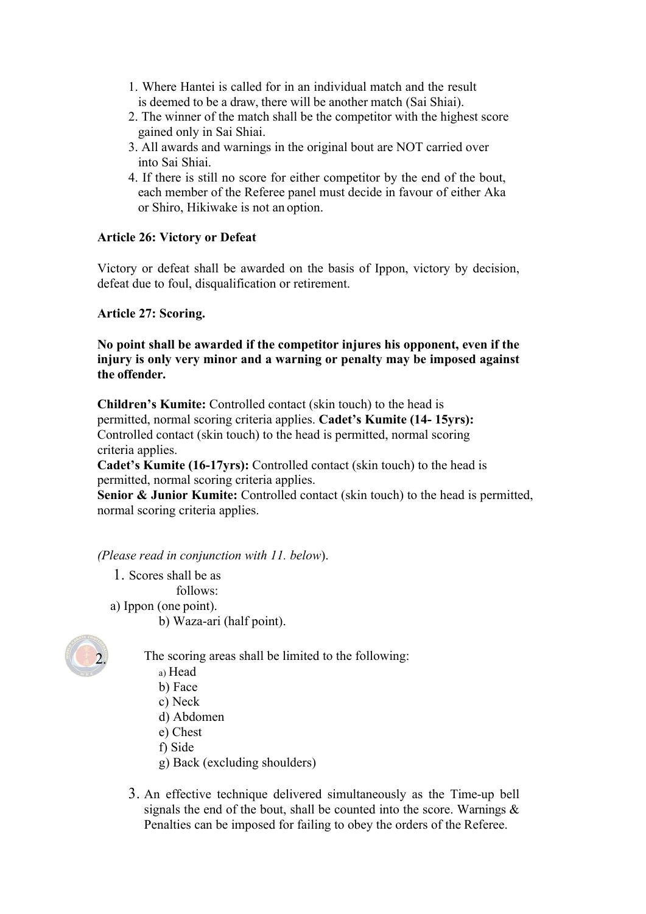- 1. Where Hantei is called for in an individual match and the result is deemed to be a draw, there will be another match (Sai Shiai).
- 2. The winner of the match shall be the competitor with the highest score gained only in Sai Shiai.
- 3. All awards and warnings in the original bout are NOT carried over into Sai Shiai.
- 4. If there is still no score for either competitor by the end of the bout, each member of the Referee panel must decide in favour of either Aka or Shiro, Hikiwake is not an option.

### **Article 26: Victory or Defeat**

Victory or defeat shall be awarded on the basis of Ippon, victory by decision, defeat due to foul, disqualification or retirement.

### **Article 27: Scoring.**

**No point shall be awarded if the competitor injures his opponent, even if the injury is only very minor and a warning or penalty may be imposed against the offender.**

**Children's Kumite:** Controlled contact (skin touch) to the head is permitted, normal scoring criteria applies. **Cadet's Kumite (14- 15yrs):**  Controlled contact (skin touch) to the head is permitted, normal scoring criteria applies.

**Cadet's Kumite (16-17yrs):** Controlled contact (skin touch) to the head is permitted, normal scoring criteria applies.

**Senior & Junior Kumite:** Controlled contact (skin touch) to the head is permitted, normal scoring criteria applies.

*(Please read in conjunction with 11. below*).

1. Scores shall be as follows: a) Ippon (one point). b) Waza-ari (half point).



The scoring areas shall be limited to the following:

- a) Head
- b) Face
- c) Neck
- d) Abdomen
- e) Chest
- f) Side
- g) Back (excluding shoulders)
- 3. An effective technique delivered simultaneously as the Time-up bell signals the end of the bout, shall be counted into the score. Warnings & Penalties can be imposed for failing to obey the orders of the Referee.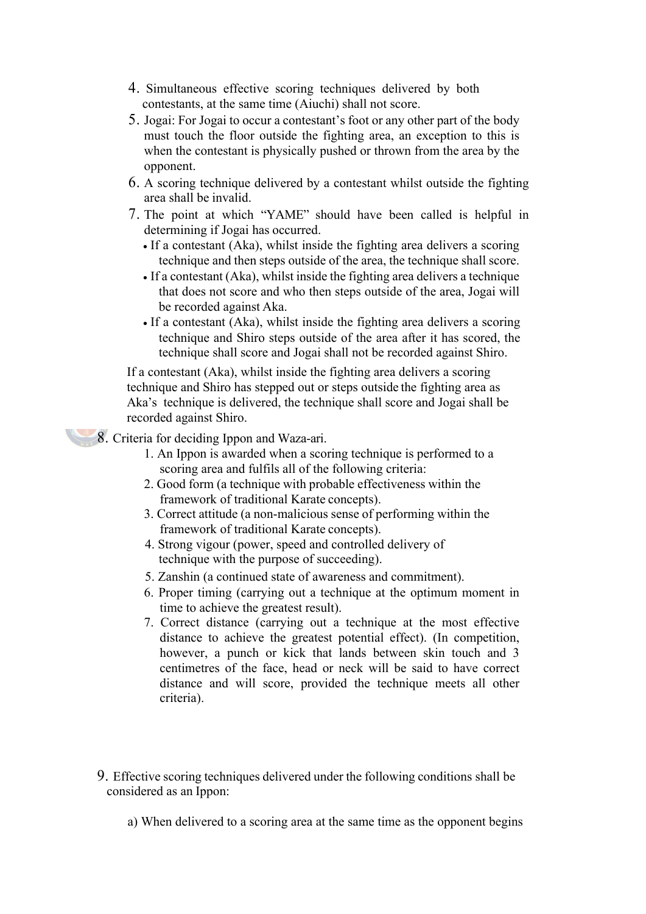- 4. Simultaneous effective scoring techniques delivered by both contestants, at the same time (Aiuchi) shall not score.
- 5. Jogai: For Jogai to occur a contestant's foot or any other part of the body must touch the floor outside the fighting area, an exception to this is when the contestant is physically pushed or thrown from the area by the opponent.
- 6. A scoring technique delivered by a contestant whilst outside the fighting area shall be invalid.
- 7. The point at which "YAME" should have been called is helpful in determining if Jogai has occurred.
	- If a contestant (Aka), whilst inside the fighting area delivers a scoring technique and then steps outside of the area, the technique shall score.
	- If a contestant (Aka), whilst inside the fighting area delivers a technique that does not score and who then steps outside of the area, Jogai will be recorded against Aka.
	- If a contestant (Aka), whilst inside the fighting area delivers a scoring technique and Shiro steps outside of the area after it has scored, the technique shall score and Jogai shall not be recorded against Shiro.

If a contestant (Aka), whilst inside the fighting area delivers a scoring technique and Shiro has stepped out or steps outside the fighting area as Aka's technique is delivered, the technique shall score and Jogai shall be recorded against Shiro.

8. Criteria for deciding Ippon and Waza-ari.

- 1. An Ippon is awarded when a scoring technique is performed to a scoring area and fulfils all of the following criteria:
- 2. Good form (a technique with probable effectiveness within the framework of traditional Karate concepts).
- 3. Correct attitude (a non-malicious sense of performing within the framework of traditional Karate concepts).
- 4. Strong vigour (power, speed and controlled delivery of technique with the purpose of succeeding).
- 5. Zanshin (a continued state of awareness and commitment).
- 6. Proper timing (carrying out a technique at the optimum moment in time to achieve the greatest result).
- 7. Correct distance (carrying out a technique at the most effective distance to achieve the greatest potential effect). (In competition, however, a punch or kick that lands between skin touch and 3 centimetres of the face, head or neck will be said to have correct distance and will score, provided the technique meets all other criteria).
- 9. Effective scoring techniques delivered under the following conditions shall be considered as an Ippon:
	- a) When delivered to a scoring area at the same time as the opponent begins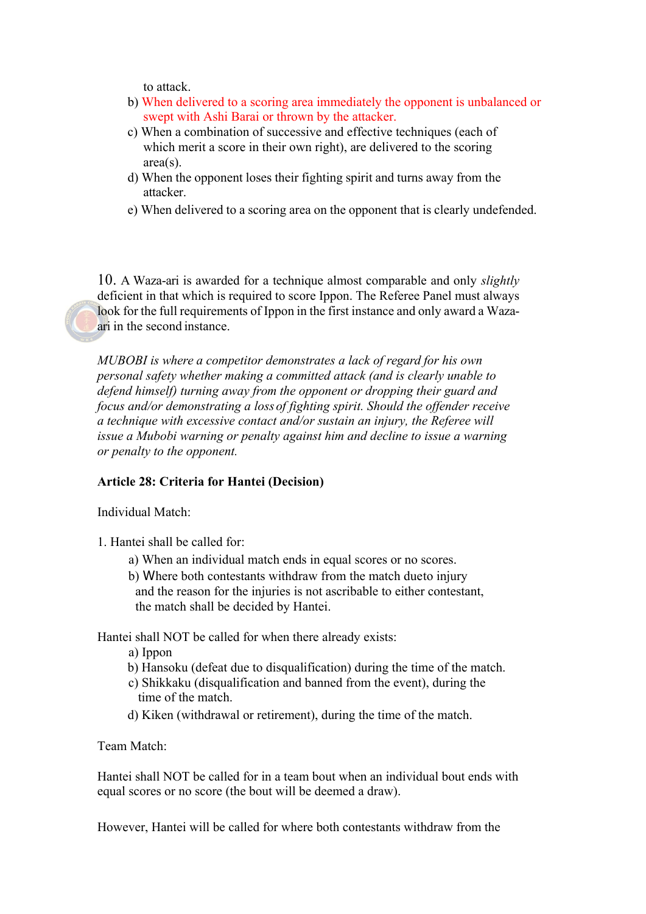to attack.

- b) When delivered to a scoring area immediately the opponent is unbalanced or swept with Ashi Barai or thrown by the attacker.
- c) When a combination of successive and effective techniques (each of which merit a score in their own right), are delivered to the scoring area(s).
- d) When the opponent loses their fighting spirit and turns away from the attacker.
- e) When delivered to a scoring area on the opponent that is clearly undefended.

10. A Waza-ari is awarded for a technique almost comparable and only *slightly*  deficient in that which is required to score Ippon. The Referee Panel must always look for the full requirements of Ippon in the first instance and only award a Wazaari in the second instance.

*MUBOBI is where a competitor demonstrates a lack of regard for his own personal safety whether making a committed attack (and is clearly unable to defend himself) turning away from the opponent or dropping their guard and focus and/or demonstrating a lossof fighting spirit. Should the offender receive a technique with excessive contact and/or sustain an injury, the Referee will issue a Mubobi warning or penalty against him and decline to issue a warning or penalty to the opponent.*

#### **Article 28: Criteria for Hantei (Decision)**

Individual Match:

- 1. Hantei shall be called for:
	- a) When an individual match ends in equal scores or no scores.
	- b) Where both contestants withdraw from the match dueto injury and the reason for the injuries is not ascribable to either contestant, the match shall be decided by Hantei.

Hantei shall NOT be called for when there already exists:

- a) Ippon
- b) Hansoku (defeat due to disqualification) during the time of the match.
- c) Shikkaku (disqualification and banned from the event), during the time of the match.
- d) Kiken (withdrawal or retirement), during the time of the match.

Team Match:

Hantei shall NOT be called for in a team bout when an individual bout ends with equal scores or no score (the bout will be deemed a draw).

However, Hantei will be called for where both contestants withdraw from the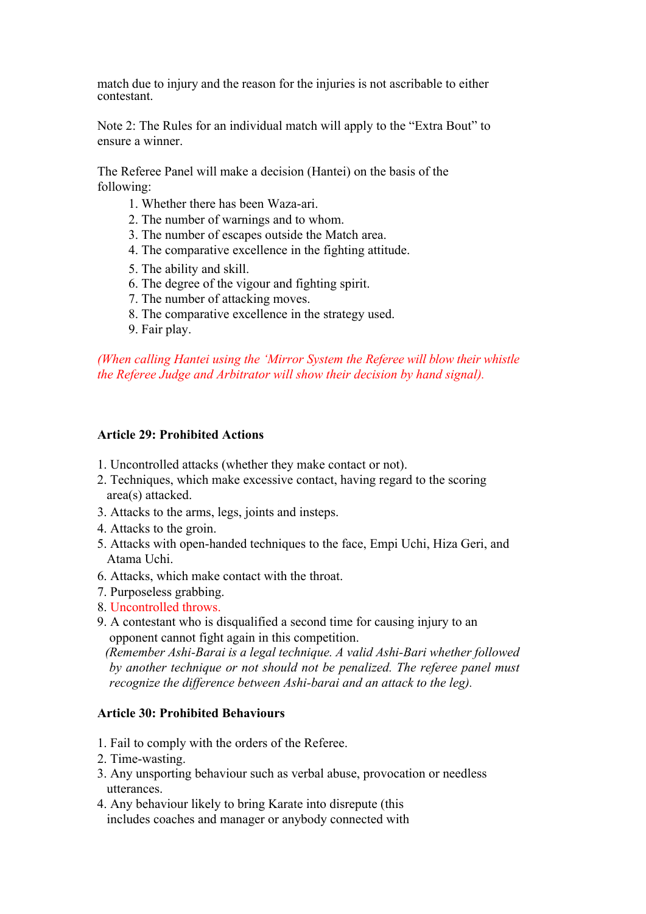match due to injury and the reason for the injuries is not ascribable to either contestant.

Note 2: The Rules for an individual match will apply to the "Extra Bout" to ensure a winner.

The Referee Panel will make a decision (Hantei) on the basis of the following:

- 1. Whether there has been Waza-ari.
- 2. The number of warnings and to whom.
- 3. The number of escapes outside the Match area.
- 4. The comparative excellence in the fighting attitude.
- 5. The ability and skill.
- 6. The degree of the vigour and fighting spirit.
- 7. The number of attacking moves.
- 8. The comparative excellence in the strategy used.
- 9. Fair play.

*(When calling Hantei using the 'Mirror System the Referee will blow their whistle the Referee Judge and Arbitrator will show their decision by hand signal).*

### **Article 29: Prohibited Actions**

- 1. Uncontrolled attacks (whether they make contact or not).
- 2. Techniques, which make excessive contact, having regard to the scoring area(s) attacked.
- 3. Attacks to the arms, legs, joints and insteps.
- 4. Attacks to the groin.
- 5. Attacks with open-handed techniques to the face, Empi Uchi, Hiza Geri, and Atama Uchi.
- 6. Attacks, which make contact with the throat.
- 7. Purposeless grabbing.
- 8. Uncontrolled throws.
- 9. A contestant who is disqualified a second time for causing injury to an opponent cannot fight again in this competition.

*(Remember Ashi-Barai is a legal technique. A valid Ashi-Bari whether followed by another technique or not should not be penalized. The referee panel must recognize the difference between Ashi-barai and an attack to the leg).*

### **Article 30: Prohibited Behaviours**

- 1. Fail to comply with the orders of the Referee.
- 2. Time-wasting.
- 3. Any unsporting behaviour such as verbal abuse, provocation or needless utterances.
- 4. Any behaviour likely to bring Karate into disrepute (this includes coaches and manager or anybody connected with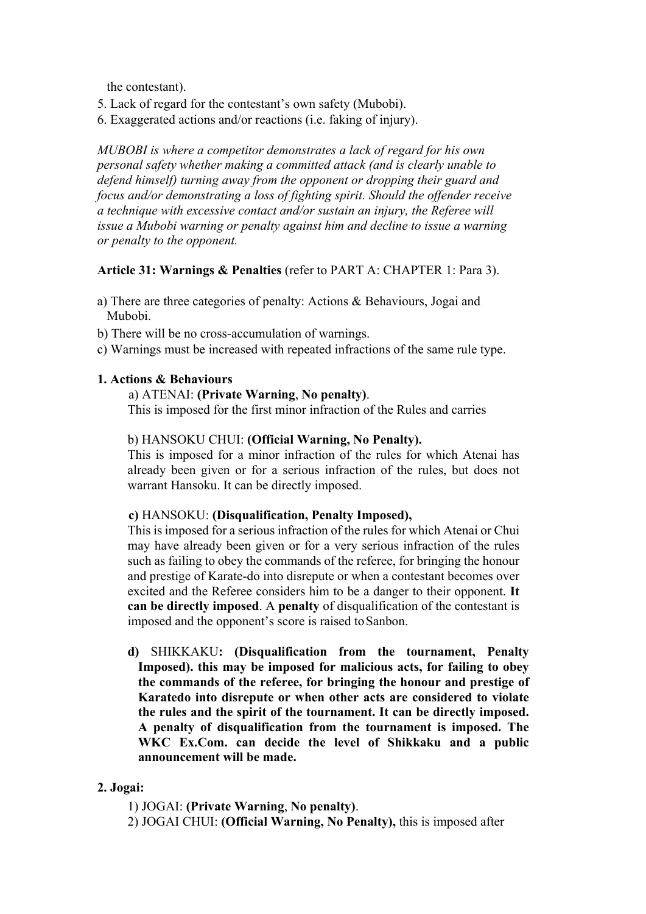the contestant).

- 5. Lack of regard for the contestant's own safety (Mubobi).
- 6. Exaggerated actions and/or reactions (i.e. faking of injury).

*MUBOBI is where a competitor demonstrates a lack of regard for his own personal safety whether making a committed attack (and is clearly unable to defend himself) turning away from the opponent or dropping their guard and focus and/or demonstrating a loss of fighting spirit. Should the offender receive a technique with excessive contact and/or sustain an injury, the Referee will issue a Mubobi warning or penalty against him and decline to issue a warning or penalty to the opponent.*

# **Article 31: Warnings & Penalties** (refer to PART A: CHAPTER 1: Para 3).

- a) There are three categories of penalty: Actions & Behaviours, Jogai and Mubobi.
- b) There will be no cross-accumulation of warnings.
- c) Warnings must be increased with repeated infractions of the same rule type.

# **1. Actions & Behaviours**

### a) ATENAI: **(Private Warning**, **No penalty)**.

This is imposed for the first minor infraction of the Rules and carries

### b) HANSOKU CHUI: **(Official Warning, No Penalty).**

This is imposed for a minor infraction of the rules for which Atenai has already been given or for a serious infraction of the rules, but does not warrant Hansoku. It can be directly imposed.

### **c)** HANSOKU: **(Disqualification, Penalty Imposed),**

This is imposed for a serious infraction of the rules for which Atenai or Chui may have already been given or for a very serious infraction of the rules such as failing to obey the commands of the referee, for bringing the honour and prestige of Karate-do into disrepute or when a contestant becomes over excited and the Referee considers him to be a danger to their opponent. **It can be directly imposed**. A **penalty** of disqualification of the contestant is imposed and the opponent's score is raised to Sanbon.

**d)** SHIKKAKU**: (Disqualification from the tournament, Penalty Imposed). this may be imposed for malicious acts, for failing to obey the commands of the referee, for bringing the honour and prestige of Karatedo into disrepute or when other acts are considered to violate the rules and the spirit of the tournament. It can be directly imposed. A penalty of disqualification from the tournament is imposed. The WKC Ex.Com. can decide the level of Shikkaku and a public announcement will be made.**

# **2. Jogai:**

- 1) JOGAI: **(Private Warning**, **No penalty)**.
- 2) JOGAI CHUI: **(Official Warning, No Penalty),** this is imposed after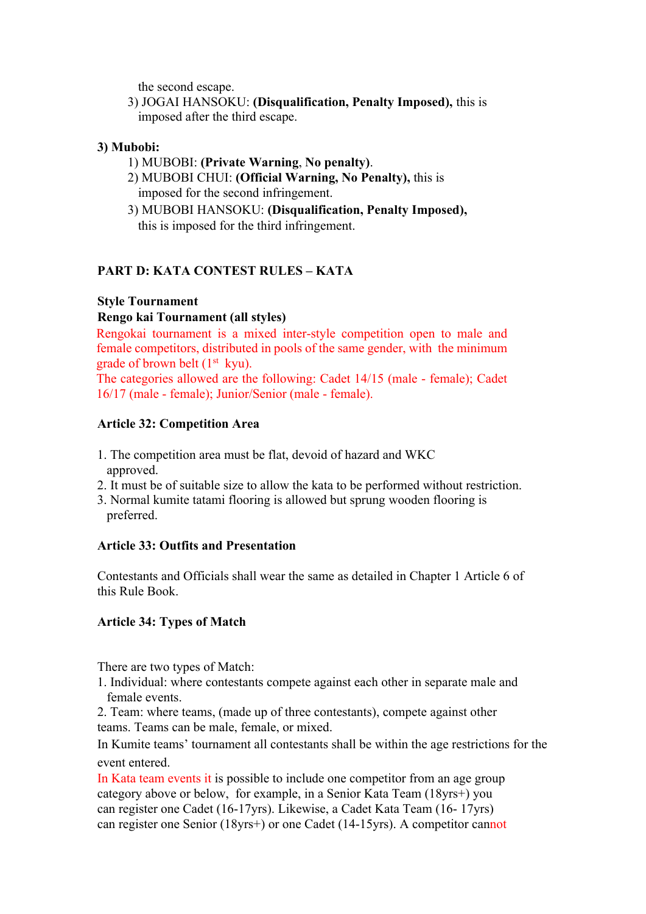the second escape.

3) JOGAI HANSOKU: **(Disqualification, Penalty Imposed),** this is imposed after the third escape.

# **3) Mubobi:**

- 1) MUBOBI: **(Private Warning**, **No penalty)**.
- 2) MUBOBI CHUI: **(Official Warning, No Penalty),** this is imposed for the second infringement.
- 3) MUBOBI HANSOKU: **(Disqualification, Penalty Imposed),** this is imposed for the third infringement.

# **PART D: KATA CONTEST RULES – KATA**

# **Style Tournament**

# **Rengo kai Tournament (all styles)**

Rengokai tournament is a mixed inter-style competition open to male and female competitors, distributed in pools of the same gender, with the minimum grade of brown belt  $(1<sup>st</sup>$  kyu).

The categories allowed are the following: Cadet 14/15 (male - female); Cadet 16/17 (male - female); Junior/Senior (male - female).

# **Article 32: Competition Area**

- 1. The competition area must be flat, devoid of hazard and WKC approved.
- 2. It must be of suitable size to allow the kata to be performed without restriction.
- 3. Normal kumite tatami flooring is allowed but sprung wooden flooring is preferred.

# **Article 33: Outfits and Presentation**

Contestants and Officials shall wear the same as detailed in Chapter 1 Article 6 of this Rule Book.

# **Article 34: Types of Match**

There are two types of Match:

- 1. Individual: where contestants compete against each other in separate male and female events.
- 2. Team: where teams, (made up of three contestants), compete against other teams. Teams can be male, female, or mixed.

In Kumite teams' tournament all contestants shall be within the age restrictions for the event entered.

In Kata team events it is possible to include one competitor from an age group category above or below, for example, in a Senior Kata Team (18yrs+) you can register one Cadet (16-17yrs). Likewise, a Cadet Kata Team (16- 17yrs) can register one Senior (18yrs+) or one Cadet (14-15yrs). A competitor cannot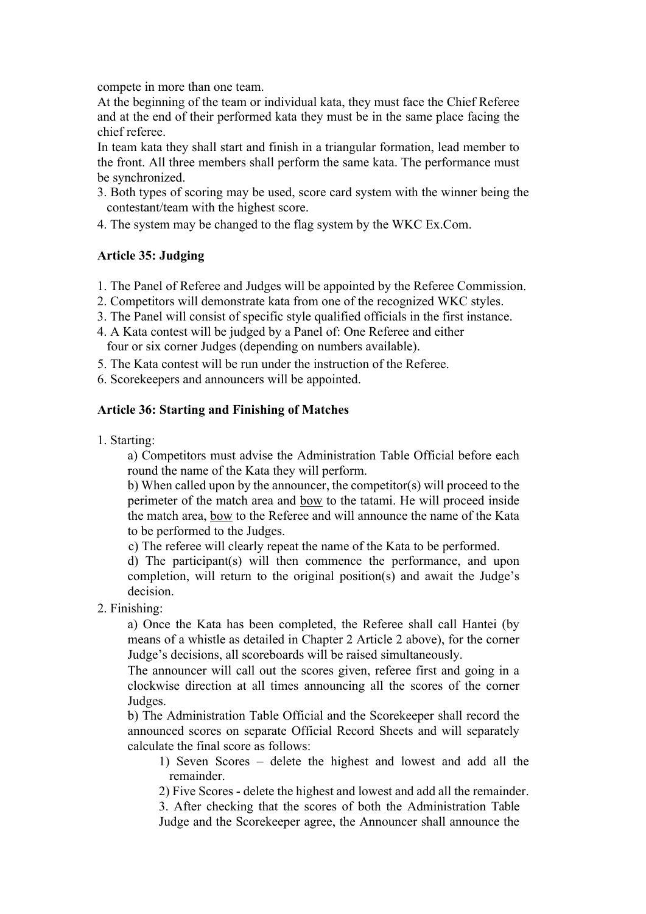compete in more than one team.

At the beginning of the team or individual kata, they must face the Chief Referee and at the end of their performed kata they must be in the same place facing the chief referee.

In team kata they shall start and finish in a triangular formation, lead member to the front. All three members shall perform the same kata. The performance must be synchronized.

- 3. Both types of scoring may be used, score card system with the winner being the contestant/team with the highest score.
- 4. The system may be changed to the flag system by the WKC Ex.Com.

### **Article 35: Judging**

- 1. The Panel of Referee and Judges will be appointed by the Referee Commission.
- 2. Competitors will demonstrate kata from one of the recognized WKC styles.
- 3. The Panel will consist of specific style qualified officials in the first instance.
- 4. A Kata contest will be judged by a Panel of: One Referee and either four or six corner Judges (depending on numbers available).
- 5. The Kata contest will be run under the instruction of the Referee.
- 6. Scorekeepers and announcers will be appointed.

### **Article 36: Starting and Finishing of Matches**

1. Starting:

a) Competitors must advise the Administration Table Official before each round the name of the Kata they will perform.

b) When called upon by the announcer, the competitor(s) will proceed to the perimeter of the match area and bow to the tatami. He will proceed inside the match area, bow to the Referee and will announce the name of the Kata to be performed to the Judges.

c) The referee will clearly repeat the name of the Kata to be performed.

d) The participant(s) will then commence the performance, and upon completion, will return to the original position(s) and await the Judge's decision.

2. Finishing:

a) Once the Kata has been completed, the Referee shall call Hantei (by means of a whistle as detailed in Chapter 2 Article 2 above), for the corner Judge's decisions, all scoreboards will be raised simultaneously.

The announcer will call out the scores given, referee first and going in a clockwise direction at all times announcing all the scores of the corner Judges.

b) The Administration Table Official and the Scorekeeper shall record the announced scores on separate Official Record Sheets and will separately calculate the final score as follows:

1) Seven Scores – delete the highest and lowest and add all the remainder.

2) Five Scores - delete the highest and lowest and add all the remainder.

3. After checking that the scores of both the Administration Table Judge and the Scorekeeper agree, the Announcer shall announce the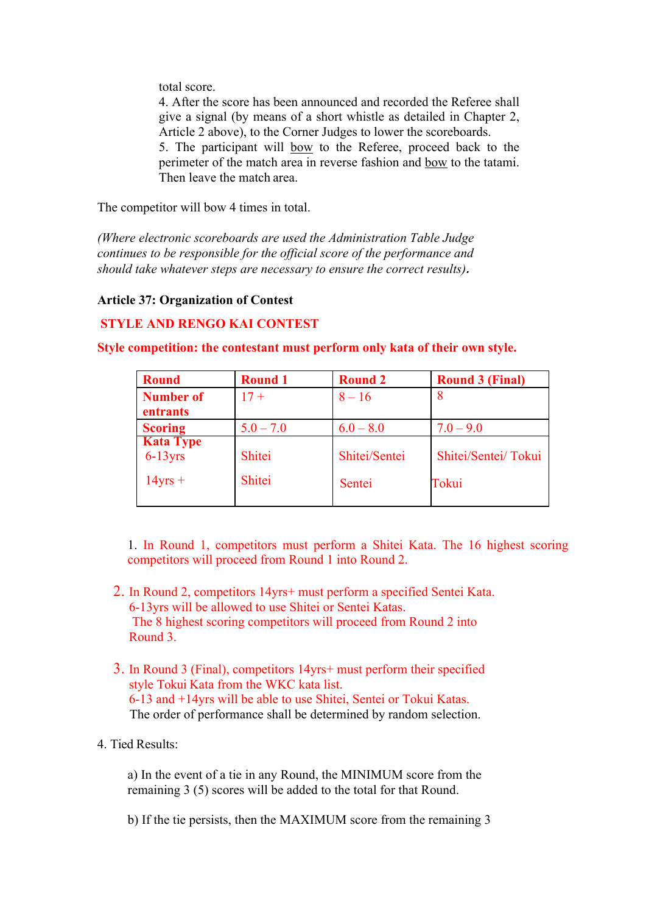total score.

4. After the score has been announced and recorded the Referee shall give a signal (by means of a short whistle as detailed in Chapter 2, Article 2 above), to the Corner Judges to lower the scoreboards. 5. The participant will bow to the Referee, proceed back to the perimeter of the match area in reverse fashion and bow to the tatami. Then leave the match area.

The competitor will bow 4 times in total.

*(Where electronic scoreboards are used the Administration Table Judge continues to be responsible for the official score of the performance and should take whatever steps are necessary to ensure the correct results).*

# **Article 37: Organization of Contest**

# **STYLE AND RENGO KAI CONTEST**

| <b>Round</b>                                      | <b>Round 1</b>   | <b>Round 2</b>          | <b>Round 3 (Final)</b>       |
|---------------------------------------------------|------------------|-------------------------|------------------------------|
| <b>Number of</b><br>entrants                      | $17 +$           | $8 - 16$                | 8                            |
| <b>Scoring</b>                                    | $5.0 - 7.0$      | $6.0 - 8.0$             | $7.0 - 9.0$                  |
| <b>Kata Type</b><br>$6-13$ yrs<br>$14\gamma$ rs + | Shitei<br>Shitei | Shitei/Sentei<br>Sentei | Shitei/Sentei/Tokui<br>Tokui |

**Style competition: the contestant must perform only kata of their own style.**

1. In Round 1, competitors must perform a Shitei Kata. The 16 highest scoring competitors will proceed from Round 1 into Round 2.

- 2. In Round 2, competitors 14yrs+ must perform a specified Sentei Kata. 6-13yrs will be allowed to use Shitei or Sentei Katas. The 8 highest scoring competitors will proceed from Round 2 into Round 3.
- 3. In Round 3 (Final), competitors 14yrs+ must perform their specified style Tokui Kata from the WKC kata list. 6-13 and +14yrs will be able to use Shitei, Sentei or Tokui Katas. The order of performance shall be determined by random selection.

# 4. Tied Results:

a) In the event of a tie in any Round, the MINIMUM score from the remaining 3 (5) scores will be added to the total for that Round.

b) If the tie persists, then the MAXIMUM score from the remaining 3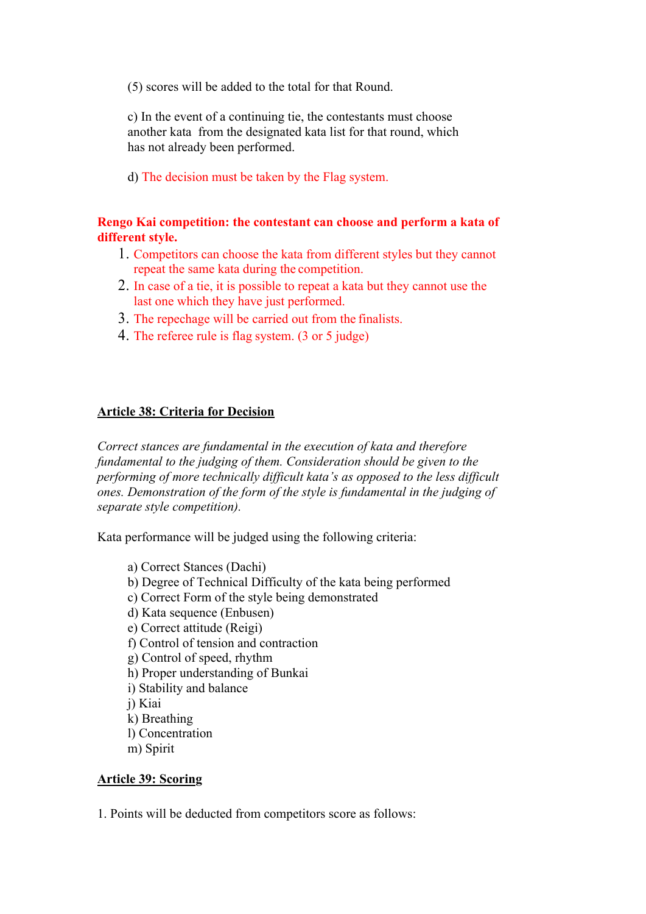(5) scores will be added to the total for that Round.

c) In the event of a continuing tie, the contestants must choose another kata from the designated kata list for that round, which has not already been performed.

d) The decision must be taken by the Flag system.

# **Rengo Kai competition: the contestant can choose and perform a kata of different style.**

- 1. Competitors can choose the kata from different styles but they cannot repeat the same kata during the competition.
- 2. In case of a tie, it is possible to repeat a kata but they cannot use the last one which they have just performed.
- 3. The repechage will be carried out from the finalists.
- 4. The referee rule is flag system. (3 or 5 judge)

### **Article 38: Criteria for Decision**

*Correct stances are fundamental in the execution of kata and therefore fundamental to the judging of them. Consideration should be given to the performing of more technically difficult kata's as opposed to the less difficult ones. Demonstration of the form of the style is fundamental in the judging of separate style competition).*

Kata performance will be judged using the following criteria:

a) Correct Stances (Dachi) b) Degree of Technical Difficulty of the kata being performed c) Correct Form of the style being demonstrated d) Kata sequence (Enbusen) e) Correct attitude (Reigi) f) Control of tension and contraction g) Control of speed, rhythm h) Proper understanding of Bunkai i) Stability and balance j) Kiai k) Breathing l) Concentration m) Spirit

### **Article 39: Scoring**

1. Points will be deducted from competitors score as follows: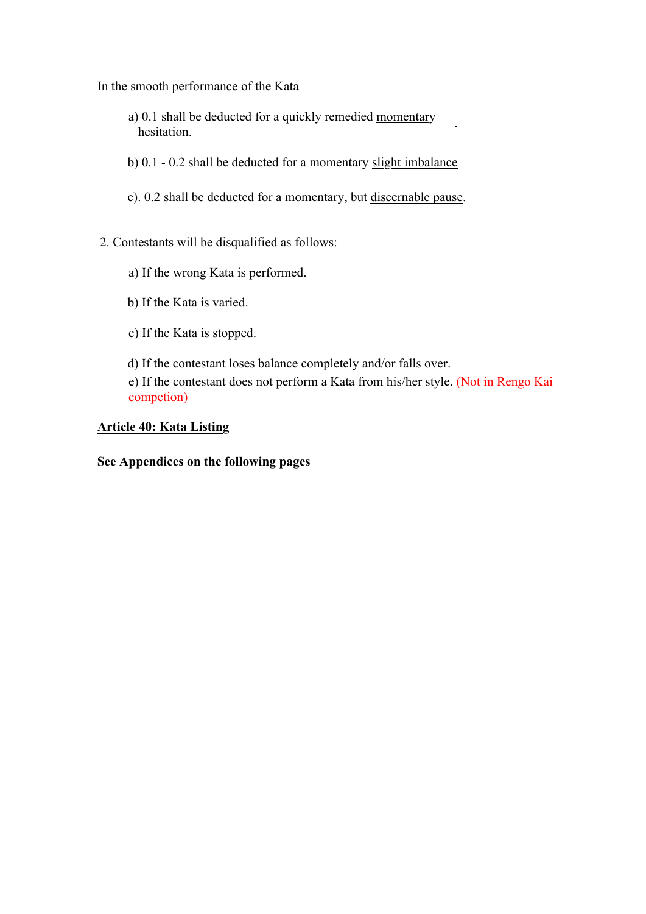In the smooth performance of the Kata

- a) 0.1 shall be deducted for a quickly remedied momentary hesitation.
- b) 0.1 0.2 shall be deducted for a momentary slight imbalance
- c). 0.2 shall be deducted for a momentary, but discernable pause.
- 2. Contestants will be disqualified as follows:
	- a) If the wrong Kata is performed.
	- b) If the Kata is varied.
	- c) If the Kata is stopped.
	- d) If the contestant loses balance completely and/or falls over.
	- e) If the contestant does not perform a Kata from his/her style. (Not in Rengo Kai competion)

### **Article 40: Kata Listing**

### **See Appendices on the following pages**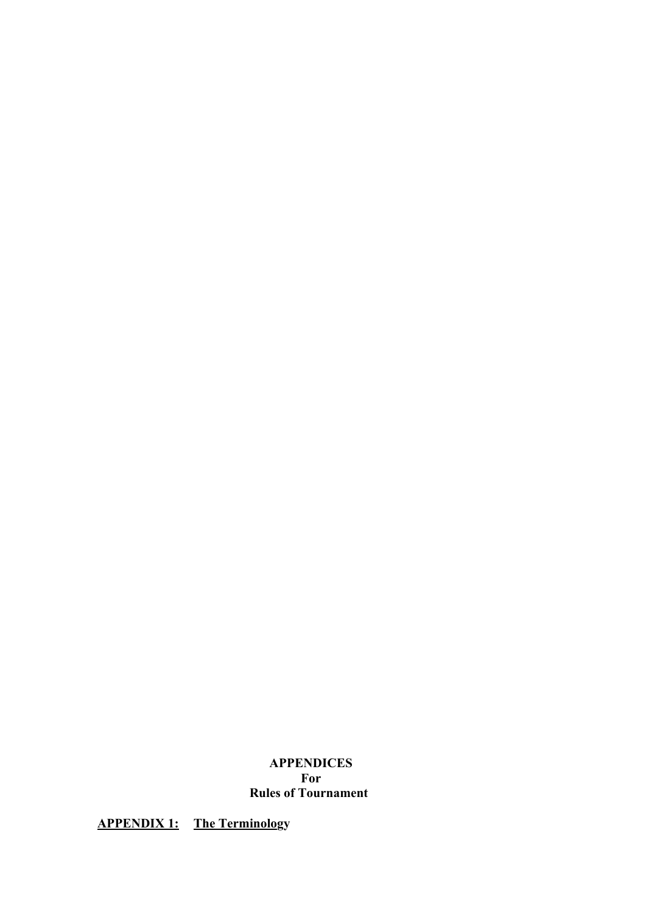# **APPENDICES For Rules of Tournament**

**APPENDIX 1: The Terminology**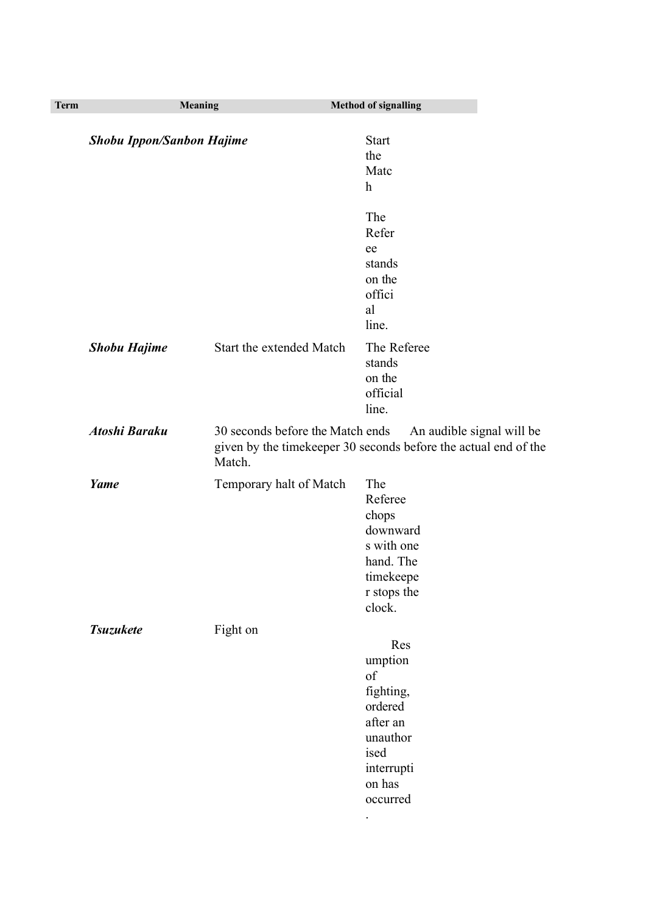| <b>Term</b> | <b>Meaning</b>                   |                          | <b>Method of signalling</b>                                                                                      |                                                                                                                               |
|-------------|----------------------------------|--------------------------|------------------------------------------------------------------------------------------------------------------|-------------------------------------------------------------------------------------------------------------------------------|
|             | <b>Shobu Ippon/Sanbon Hajime</b> |                          | <b>Start</b><br>the<br>Matc<br>$\mathbf{h}$                                                                      |                                                                                                                               |
|             |                                  |                          | The<br>Refer<br>ee<br>stands<br>on the<br>offici<br>al<br>line.                                                  |                                                                                                                               |
|             | <b>Shobu Hajime</b>              | Start the extended Match | The Referee<br>stands<br>on the<br>official<br>line.                                                             |                                                                                                                               |
|             | <b>Atoshi Baraku</b>             | Match.                   |                                                                                                                  | 30 seconds before the Match ends An audible signal will be<br>given by the timekeeper 30 seconds before the actual end of the |
|             | Yame                             | Temporary halt of Match  | The<br>Referee<br>chops<br>downward<br>s with one<br>hand. The<br>timekeepe<br>r stops the<br>clock.             |                                                                                                                               |
|             | <b>Tsuzukete</b>                 | Fight on                 | Res<br>umption<br>of<br>fighting,<br>ordered<br>after an<br>unauthor<br>ised<br>interrupti<br>on has<br>occurred |                                                                                                                               |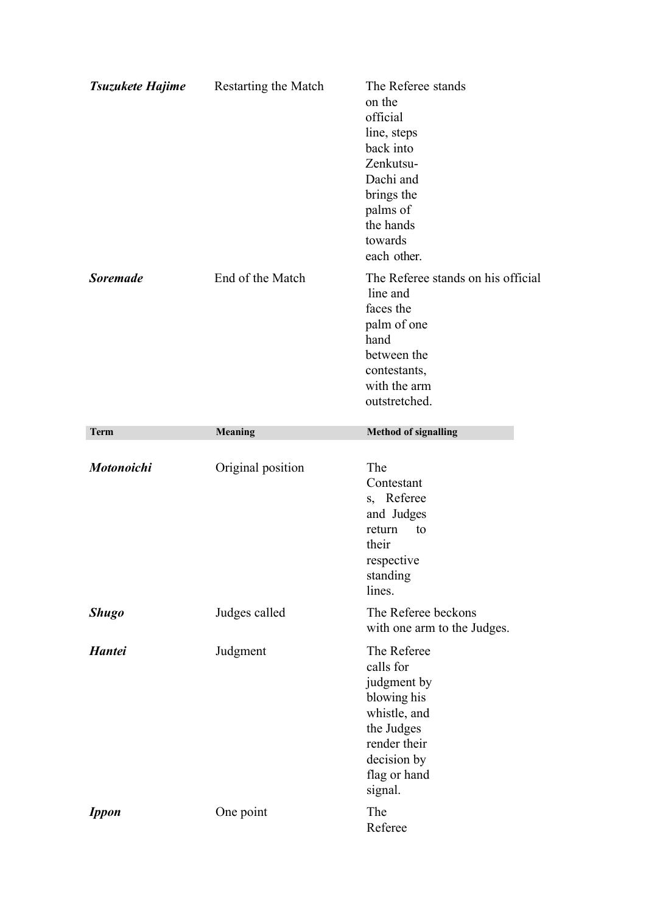| Tsuzukete Hajime | <b>Restarting the Match</b> | The Referee stands<br>on the<br>official<br>line, steps<br>back into<br>Zenkutsu-<br>Dachi and<br>brings the<br>palms of<br>the hands<br>towards<br>each other. |
|------------------|-----------------------------|-----------------------------------------------------------------------------------------------------------------------------------------------------------------|
| <b>Soremade</b>  | End of the Match            | The Referee stands on his official<br>line and<br>faces the<br>palm of one<br>hand<br>between the<br>contestants,<br>with the arm<br>outstretched.              |
| <b>Term</b>      | <b>Meaning</b>              | <b>Method of signalling</b>                                                                                                                                     |
| Motonoichi       | Original position           | The<br>Contestant<br>s, Referee<br>and Judges<br>return<br>to<br>their<br>respective<br>standing<br>lines.                                                      |
| <b>Shugo</b>     |                             |                                                                                                                                                                 |
|                  | Judges called               | The Referee beckons<br>with one arm to the Judges.                                                                                                              |
| <b>Hantei</b>    | Judgment                    | The Referee<br>calls for<br>judgment by<br>blowing his<br>whistle, and<br>the Judges<br>render their<br>decision by<br>flag or hand<br>signal.                  |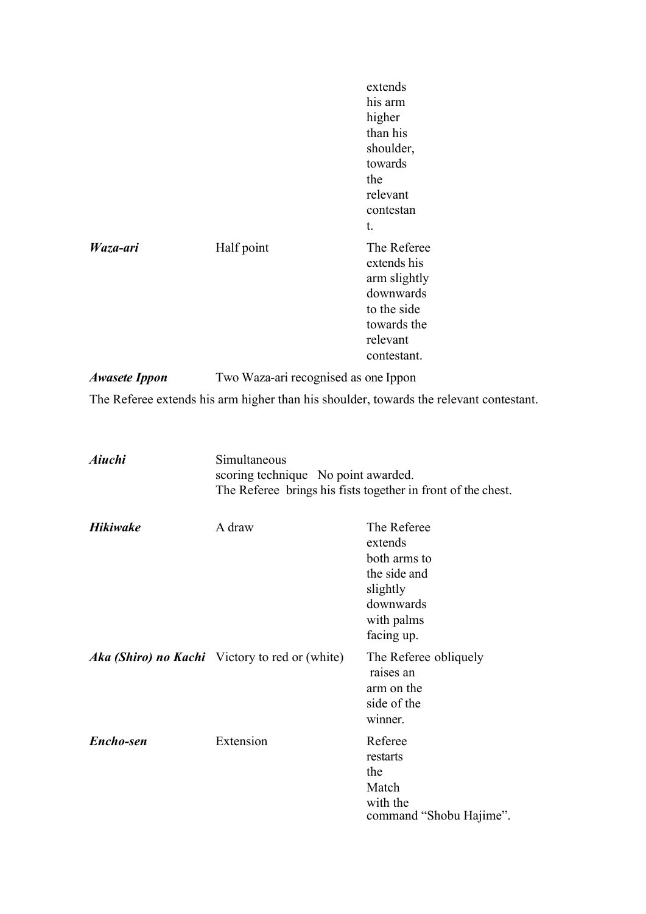|                      |                                      | extends<br>his arm<br>higher<br>than his<br>shoulder,<br>towards<br>the<br>relevant<br>contestan<br>t.           |
|----------------------|--------------------------------------|------------------------------------------------------------------------------------------------------------------|
| Waza-ari             | Half point                           | The Referee<br>extends his<br>arm slightly<br>downwards<br>to the side<br>towards the<br>relevant<br>contestant. |
| <b>Awasete Ippon</b> | Two Waza-ari recognised as one Ippon |                                                                                                                  |
|                      |                                      | The Referee extends his arm higher than his shoulder, towards the relevant contestant.                           |

| Aiuchi          | Simultaneous<br>scoring technique No point awarded.<br>The Referee brings his fists together in front of the chest. |                                                                                                             |  |
|-----------------|---------------------------------------------------------------------------------------------------------------------|-------------------------------------------------------------------------------------------------------------|--|
| <b>Hikiwake</b> | A draw                                                                                                              | The Referee<br>extends<br>both arms to<br>the side and<br>slightly<br>downwards<br>with palms<br>facing up. |  |
|                 | <b>Aka (Shiro) no Kachi</b> Victory to red or (white)                                                               | The Referee obliquely<br>raises an<br>arm on the<br>side of the<br>winner.                                  |  |
| Encho-sen       | Extension                                                                                                           | Referee<br>restarts<br>the<br>Match<br>with the<br>command "Shobu Hajime".                                  |  |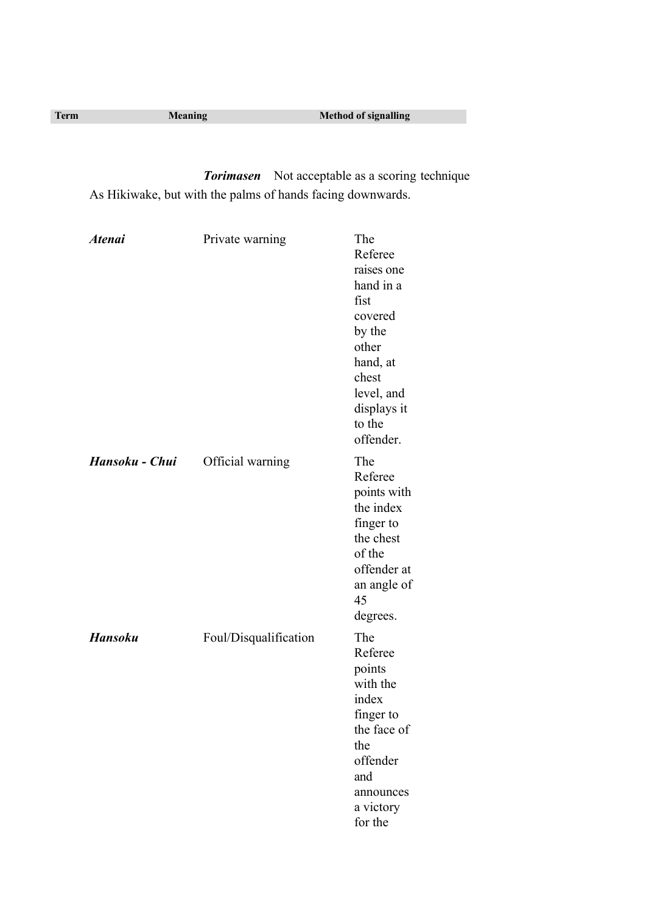| <b>Term</b> | <b>Meaning</b> | <b>Method of signalling</b> |
|-------------|----------------|-----------------------------|
|             |                |                             |

*Torimasen* Not acceptable as a scoring technique As Hikiwake, but with the palms of hands facing downwards.

| <b>Atenai</b>  | Private warning       | The<br>Referee<br>raises one<br>hand in a<br>fist<br>covered<br>by the<br>other<br>hand, at<br>chest<br>level, and<br>displays it<br>to the<br>offender. |
|----------------|-----------------------|----------------------------------------------------------------------------------------------------------------------------------------------------------|
| Hansoku - Chui | Official warning      | The<br>Referee<br>points with<br>the index<br>finger to<br>the chest<br>of the<br>offender at<br>an angle of<br>45<br>degrees.                           |
| <b>Hansoku</b> | Foul/Disqualification | The<br>Referee<br>points<br>with the<br>index<br>finger to<br>the face of<br>the<br>offender<br>and<br>announces<br>a victory<br>for the                 |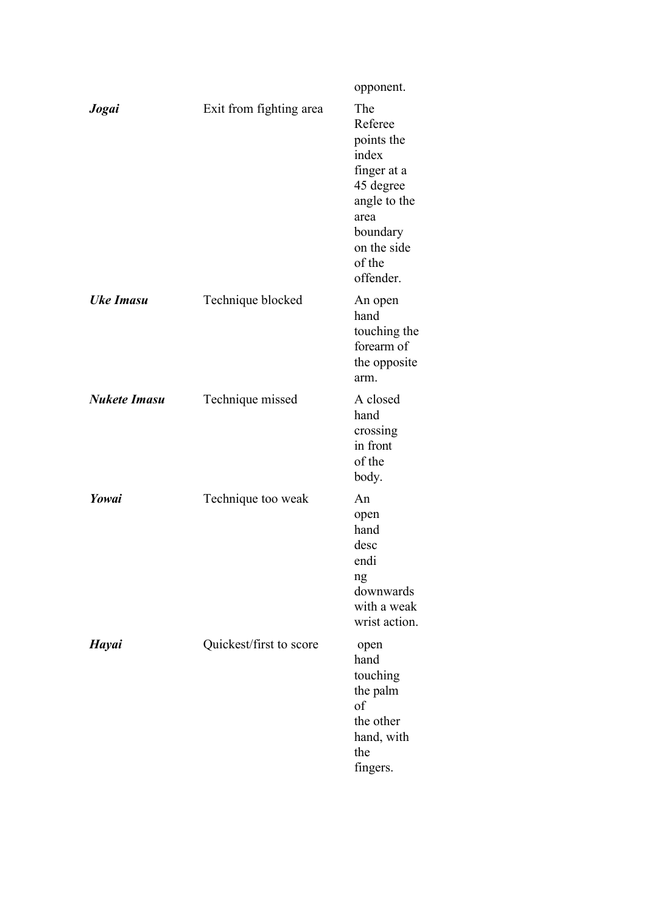|                     |                         | opponent.                                                                                                                                   |
|---------------------|-------------------------|---------------------------------------------------------------------------------------------------------------------------------------------|
| Jogai               | Exit from fighting area | The<br>Referee<br>points the<br>index<br>finger at a<br>45 degree<br>angle to the<br>area<br>boundary<br>on the side<br>of the<br>offender. |
| <b>Uke Imasu</b>    | Technique blocked       | An open<br>hand<br>touching the<br>forearm of<br>the opposite<br>arm.                                                                       |
| <b>Nukete Imasu</b> | Technique missed        | A closed<br>hand<br>crossing<br>in front<br>of the<br>body.                                                                                 |
| Yowai               | Technique too weak      | An<br>open<br>hand<br>desc<br>endi<br>ng<br>downwards<br>with a weak<br>wrist action.                                                       |
| <b>Hayai</b>        | Quickest/first to score | open<br>hand<br>touching<br>the palm<br>of<br>the other<br>hand, with<br>the<br>fingers.                                                    |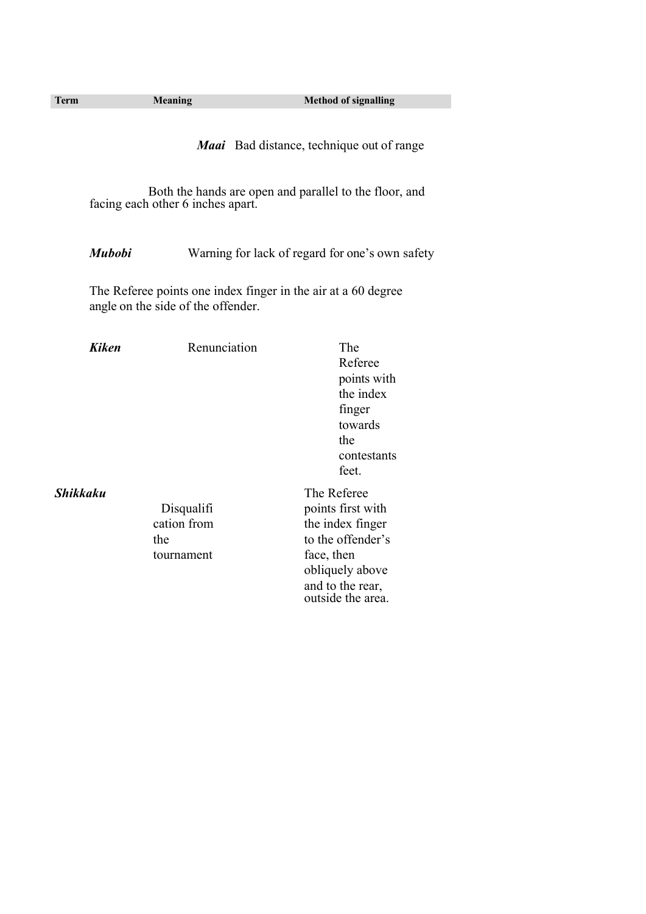outside the area.

Both the hands are open and parallel to the floor, and facing each other 6 inches apart.

*Mubobi* Warning for lack of regard for one's own safety

The Referee points one index finger in the air at a 60 degree angle on the side of the offender.

| <b>Kiken</b>    | Renunciation | The               |
|-----------------|--------------|-------------------|
|                 |              | Referee           |
|                 |              | points with       |
|                 |              | the index         |
|                 |              | finger            |
|                 |              | towards           |
|                 |              | the               |
|                 |              | contestants       |
|                 |              | feet.             |
| <b>Shikkaku</b> |              | The Referee       |
|                 | Disqualifi   | points first with |
|                 | cation from  | the index finger  |
|                 | the          | to the offender's |
|                 | tournament   | face, then        |
|                 |              | obliquely above   |
|                 |              | and to the rear,  |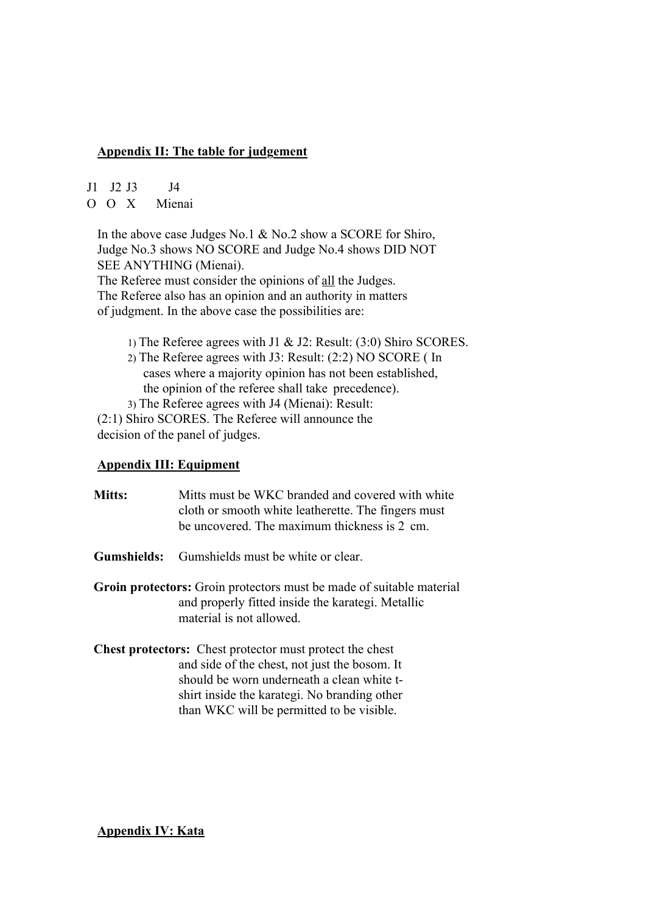# **Appendix II: The table for judgement**

J1 J2 J3 J4

O O X Mienai

In the above case Judges No.1 & No.2 show a SCORE for Shiro, Judge No.3 shows NO SCORE and Judge No.4 shows DID NOT SEE ANYTHING (Mienai).

The Referee must consider the opinions of all the Judges. The Referee also has an opinion and an authority in matters of judgment. In the above case the possibilities are:

- 1) The Referee agrees with J1 & J2: Result: (3:0) Shiro SCORES.
- 2) The Referee agrees with J3: Result: (2:2) NO SCORE ( In cases where a majority opinion has not been established, the opinion of the referee shall take precedence).
- 3) The Referee agrees with J4 (Mienai): Result:

(2:1) Shiro SCORES. The Referee will announce the decision of the panel of judges.

# **Appendix III: Equipment**

| <b>Mitts:</b> | Mitts must be WKC branded and covered with white<br>cloth or smooth white leatherette. The fingers must<br>be uncovered. The maximum thickness is 2 cm.                                                                                                     |
|---------------|-------------------------------------------------------------------------------------------------------------------------------------------------------------------------------------------------------------------------------------------------------------|
| Gumshields:   | Gumshields must be white or clear.                                                                                                                                                                                                                          |
|               | Groin protectors: Groin protectors must be made of suitable material<br>and properly fitted inside the karategi. Metallic<br>material is not allowed.                                                                                                       |
|               | <b>Chest protectors:</b> Chest protector must protect the chest<br>and side of the chest, not just the bosom. It<br>should be worn underneath a clean white t-<br>shirt inside the karategi. No branding other<br>than WKC will be permitted to be visible. |

**Appendix IV: Kata**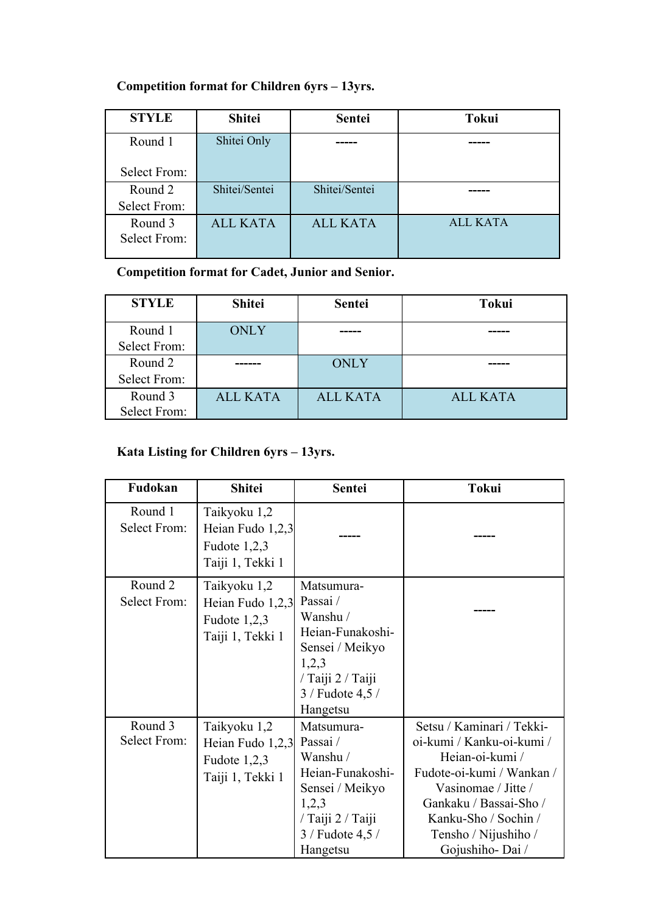# **Competition format for Children 6yrs – 13yrs.**

| <b>STYLE</b>        | <b>Shitei</b>   | Sentei          | <b>Tokui</b> |
|---------------------|-----------------|-----------------|--------------|
| Round 1             | Shitei Only     |                 |              |
| <b>Select From:</b> |                 |                 |              |
| Round 2             | Shitei/Sentei   | Shitei/Sentei   |              |
| Select From:        |                 |                 |              |
| Round 3             | <b>ALL KATA</b> | <b>ALL KATA</b> | ALL KATA     |
| Select From:        |                 |                 |              |
|                     |                 |                 |              |

**Competition format for Cadet, Junior and Senior.**

| <b>STYLE</b>        | <b>Shitei</b>   | <b>Sentei</b>   | <b>Tokui</b>    |
|---------------------|-----------------|-----------------|-----------------|
| Round 1             | <b>ONLY</b>     |                 |                 |
| <b>Select From:</b> |                 |                 |                 |
| Round 2             |                 | <b>ONLY</b>     |                 |
| Select From:        |                 |                 |                 |
| Round 3             | <b>ALL KATA</b> | <b>ALL KATA</b> | <b>ALL KATA</b> |
| Select From:        |                 |                 |                 |

# **Kata Listing for Children 6yrs – 13yrs.**

| Fudokan                        | <b>Shitei</b>                                                          | <b>Sentei</b>                                                                                                                              | <b>Tokui</b>                                                                                                                                                                                                               |
|--------------------------------|------------------------------------------------------------------------|--------------------------------------------------------------------------------------------------------------------------------------------|----------------------------------------------------------------------------------------------------------------------------------------------------------------------------------------------------------------------------|
| Round 1<br><b>Select From:</b> | Taikyoku 1,2<br>Heian Fudo 1,2,3<br>Fudote $1,2,3$<br>Taiji 1, Tekki 1 |                                                                                                                                            |                                                                                                                                                                                                                            |
| Round 2<br><b>Select From:</b> | Taikyoku 1,2<br>Heian Fudo 1,2,3<br>Fudote $1,2,3$<br>Taiji 1, Tekki 1 | Matsumura-<br>Passai/<br>Wanshu /<br>Heian-Funakoshi-<br>Sensei / Meikyo<br>1,2,3<br>/ Taiji 2 / Taiji<br>$3 /$ Fudote 4,5 $/$<br>Hangetsu |                                                                                                                                                                                                                            |
| Round 3<br><b>Select From:</b> | Taikyoku 1,2<br>Heian Fudo 1,2,3<br>Fudote $1,2,3$<br>Taiji 1, Tekki 1 | Matsumura-<br>Passai/<br>Wanshu /<br>Heian-Funakoshi-<br>Sensei / Meikyo<br>1,2,3<br>/ Taiji 2 / Taiji<br>3 / Fudote 4,5 /<br>Hangetsu     | Setsu / Kaminari / Tekki-<br>oi-kumi / Kanku-oi-kumi /<br>Heian-oi-kumi /<br>Fudote-oi-kumi / Wankan /<br>Vasinomae / Jitte /<br>Gankaku / Bassai-Sho /<br>Kanku-Sho / Sochin /<br>Tensho / Nijushiho /<br>Gojushiho-Dai / |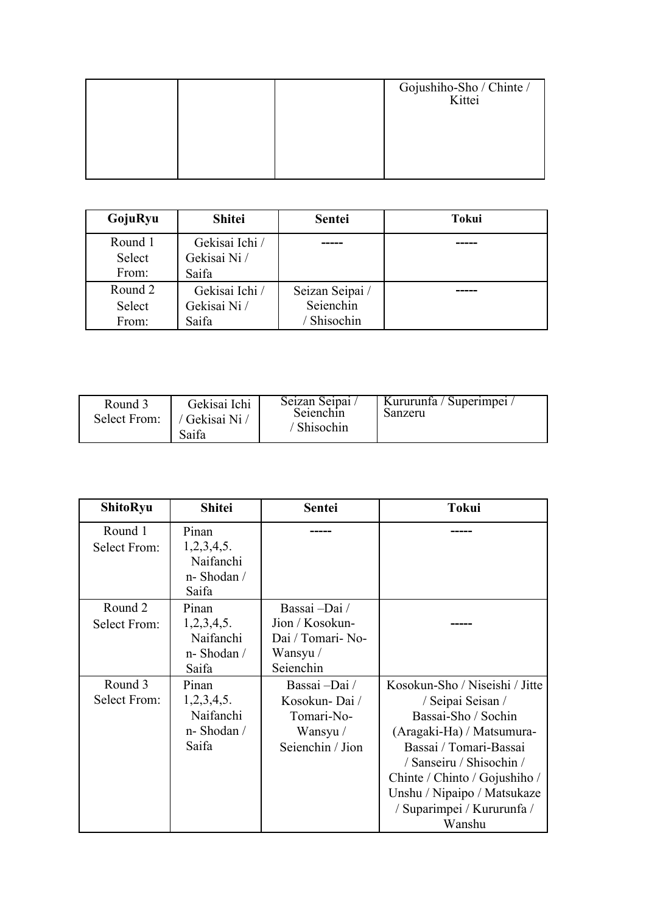|  | Gojushiho-Sho / Chinte /<br>Kittei |
|--|------------------------------------|
|  |                                    |
|  |                                    |

| GojuRyu | <b>Shitei</b>  | <b>Sentei</b>   | Tokui |
|---------|----------------|-----------------|-------|
| Round 1 | Gekisai Ichi / |                 |       |
| Select  | Gekisai Ni /   |                 |       |
| From:   | Saifa          |                 |       |
| Round 2 | Gekisai Ichi / | Seizan Seipai / |       |
| Select  | Gekisai Ni /   | Seienchin       |       |
| From:   | Saifa          | Shisochin       |       |

| Round 3<br>Select From: 1 | Gekisai Ichi<br>/ Gekisai Ni /<br>Saifa | Seizan Seipai /<br>Seienchin<br>/ Shisochin | Kururunfa / Superimpei /<br>Sanzeru |
|---------------------------|-----------------------------------------|---------------------------------------------|-------------------------------------|
|---------------------------|-----------------------------------------|---------------------------------------------|-------------------------------------|

| <b>ShitoRyu</b>                | <b>Shitei</b>                                           | <b>Sentei</b>                                                                  | <b>Tokui</b>                                                                                                                                                                                                                                                          |
|--------------------------------|---------------------------------------------------------|--------------------------------------------------------------------------------|-----------------------------------------------------------------------------------------------------------------------------------------------------------------------------------------------------------------------------------------------------------------------|
| Round 1<br><b>Select From:</b> | Pinan<br>1,2,3,4,5.<br>Naifanchi<br>n-Shodan /<br>Saifa |                                                                                |                                                                                                                                                                                                                                                                       |
| Round 2<br><b>Select From:</b> | Pinan<br>1,2,3,4,5.<br>Naifanchi<br>n-Shodan /<br>Saifa | Bassai –Dai /<br>Jion / Kosokun-<br>Dai / Tomari- No-<br>Wansyu /<br>Seienchin |                                                                                                                                                                                                                                                                       |
| Round 3<br><b>Select From:</b> | Pinan<br>1,2,3,4,5.<br>Naifanchi<br>n-Shodan /<br>Saifa | Bassai –Dai /<br>Kosokun-Dai/<br>Tomari-No-<br>Wansyu /<br>Seienchin / Jion    | Kosokun-Sho / Niseishi / Jitte<br>/ Seipai Seisan /<br>Bassai-Sho / Sochin<br>(Aragaki-Ha) / Matsumura-<br>Bassai / Tomari-Bassai<br>/ Sanseiru / Shisochin /<br>Chinte / Chinto / Gojushiho /<br>Unshu / Nipaipo / Matsukaze<br>/ Suparimpei / Kururunfa /<br>Wanshu |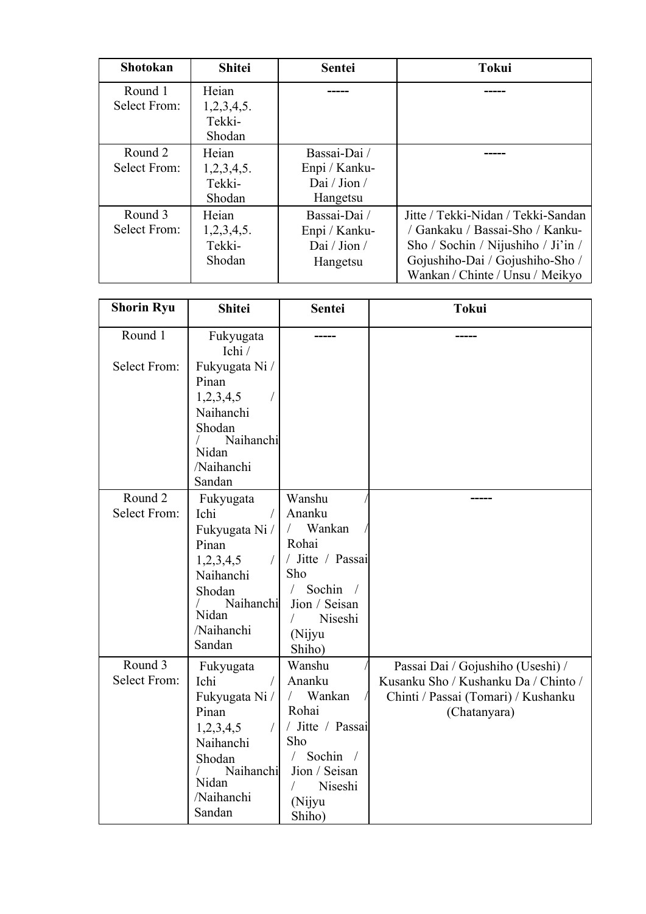| <b>Shotokan</b>                | <b>Shitei</b>                           | <b>Sentei</b>                                             | <b>Tokui</b>                                                                                                                                                                      |
|--------------------------------|-----------------------------------------|-----------------------------------------------------------|-----------------------------------------------------------------------------------------------------------------------------------------------------------------------------------|
| Round 1<br><b>Select From:</b> | Heian<br>1,2,3,4,5.<br>Tekki-<br>Shodan |                                                           |                                                                                                                                                                                   |
| Round 2<br>Select From:        | Heian<br>1,2,3,4,5.<br>Tekki-<br>Shodan | Bassai-Dai /<br>Enpi / Kanku-<br>Dai / Jion /<br>Hangetsu |                                                                                                                                                                                   |
| Round 3<br>Select From:        | Heian<br>1,2,3,4,5.<br>Tekki-<br>Shodan | Bassai-Dai /<br>Enpi / Kanku-<br>Dai / Jion /<br>Hangetsu | Jitte / Tekki-Nidan / Tekki-Sandan<br>/ Gankaku / Bassai-Sho / Kanku-<br>Sho / Sochin / Nijushiho / Ji'in /<br>Gojushiho-Dai / Gojushiho-Sho /<br>Wankan / Chinte / Unsu / Meikyo |

| <b>Shorin Ryu</b>              | <b>Shitei</b>                                  | Sentei                        | <b>Tokui</b>                         |
|--------------------------------|------------------------------------------------|-------------------------------|--------------------------------------|
| Round 1<br><b>Select From:</b> | Fukyugata<br>Ichi /<br>Fukyugata Ni /<br>Pinan |                               |                                      |
|                                | 1,2,3,4,5                                      |                               |                                      |
|                                | Naihanchi                                      |                               |                                      |
|                                | Shodan                                         |                               |                                      |
|                                | Naihanchi<br>Nidan                             |                               |                                      |
|                                | /Naihanchi                                     |                               |                                      |
|                                | Sandan                                         |                               |                                      |
| Round 2                        | Fukyugata                                      | Wanshu                        |                                      |
| <b>Select From:</b>            | Ichi                                           | Ananku                        |                                      |
|                                | Fukyugata Ni /                                 | Wankan                        |                                      |
|                                | Pinan                                          | Rohai                         |                                      |
|                                | 1,2,3,4,5<br>$\sqrt{2}$                        | / Jitte / Passai              |                                      |
|                                | Naihanchi                                      | Sho<br>Sochin /<br>$\sqrt{2}$ |                                      |
|                                | Shodan<br>Naihanchi                            | Jion / Seisan                 |                                      |
|                                | Nidan                                          | Niseshi                       |                                      |
|                                | /Naihanchi                                     | (Nijyu                        |                                      |
|                                | Sandan                                         | Shiho)                        |                                      |
| Round 3                        | Fukyugata                                      | Wanshu                        | Passai Dai / Gojushiho (Useshi) /    |
| <b>Select From:</b>            | Ichi                                           | Ananku                        | Kusanku Sho / Kushanku Da / Chinto / |
|                                | Fukyugata Ni /                                 | Wankan<br>$\sqrt{2}$          | Chinti / Passai (Tomari) / Kushanku  |
|                                | Pinan                                          | Rohai                         | (Chatanyara)                         |
|                                | 1,2,3,4,5<br>$\sqrt{2}$                        | / Jitte / Passai              |                                      |
|                                | Naihanchi                                      | Sho                           |                                      |
|                                | Shodan                                         | Sochin /                      |                                      |
|                                | Naihanchi<br>Nidan                             | Jion / Seisan                 |                                      |
|                                | /Naihanchi                                     | Niseshi                       |                                      |
|                                | Sandan                                         | (Nijyu<br>Shiho)              |                                      |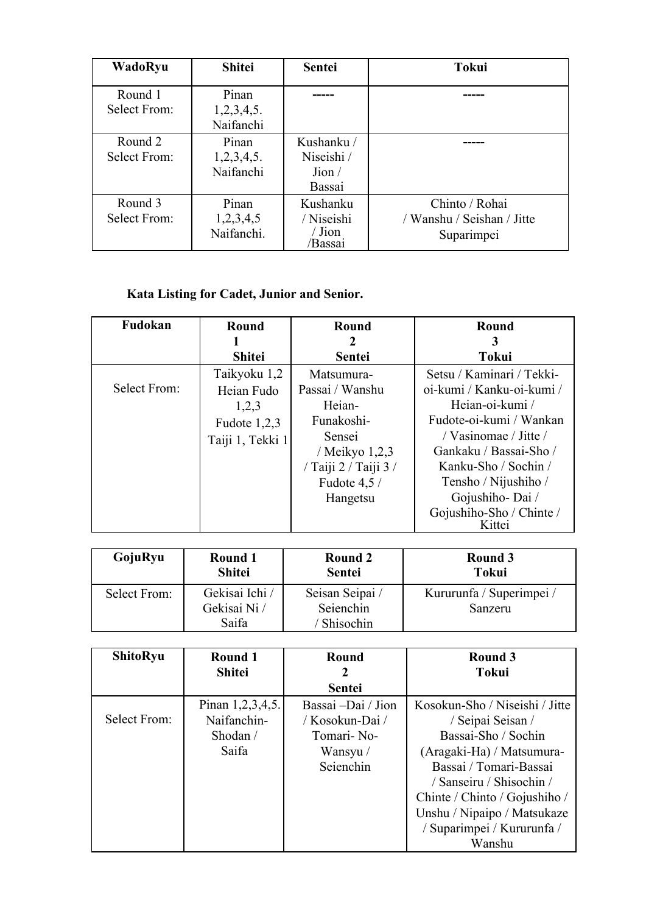| WadoRyu                 | <b>Shitei</b>                    | <b>Sentei</b>                                 | <b>Tokui</b>                                               |
|-------------------------|----------------------------------|-----------------------------------------------|------------------------------------------------------------|
| Round 1<br>Select From: | Pinan<br>1,2,3,4,5.<br>Naifanchi |                                               |                                                            |
| Round 2<br>Select From: | Pinan<br>1,2,3,4,5.<br>Naifanchi | Kushanku /<br>Niseishi /<br>Join/<br>Bassai   |                                                            |
| Round 3<br>Select From: | Pinan<br>1,2,3,4,5<br>Naifanchi. | Kushanku<br>/ Niseishi<br>$/$ Jion<br>/Bassai | Chinto / Rohai<br>/ Wanshu / Seishan / Jitte<br>Suparimpei |

# **Kata Listing for Cadet, Junior and Senior.**

| Fudokan      | Round            | Round                 | <b>Round</b>              |
|--------------|------------------|-----------------------|---------------------------|
|              |                  | 2                     | 3                         |
|              | <b>Shitei</b>    | <b>Sentei</b>         | <b>Tokui</b>              |
|              | Taikyoku 1,2     | Matsumura-            | Setsu / Kaminari / Tekki- |
| Select From: | Heian Fudo       | Passai / Wanshu       | oi-kumi / Kanku-oi-kumi / |
|              | 1,2,3            | Heian-                | Hejan-oi-kumi /           |
|              | Fudote $1,2,3$   | Funakoshi-            | Fudote-oi-kumi / Wankan   |
|              | Taiji 1, Tekki 1 | Sensei                | / Vasinomae / Jitte /     |
|              |                  | / Meikyo $1,2,3$      | Gankaku / Bassai-Sho /    |
|              |                  | / Taiji 2 / Taiji 3 / | Kanku-Sho / Sochin /      |
|              |                  | Fudote $4,5/$         | Tensho / Nijushiho /      |
|              |                  | Hangetsu              | Gojushiho-Dai /           |
|              |                  |                       | Gojushiho-Sho / Chinte /  |
|              |                  |                       | Kittei                    |

| GojuRyu      | Round 1        | Round 2         | Round 3                  |
|--------------|----------------|-----------------|--------------------------|
|              | <b>Shitei</b>  | Sentei          | Tokui                    |
| Select From: | Gekisai Ichi / | Seisan Seipai / | Kururunfa / Superimpei / |
|              | Gekisai Ni /   | Seienchin       | Sanzeru                  |
|              | Saifa          | ' Shisochin     |                          |

| <b>ShitoRyu</b> | <b>Round 1</b><br><b>Shitei</b> | <b>Round</b><br>$\mathcal{L}$ | Round 3<br><b>Tokui</b>        |
|-----------------|---------------------------------|-------------------------------|--------------------------------|
|                 |                                 | <b>Sentei</b>                 |                                |
|                 | Pinan 1,2,3,4,5.                | Bassai –Dai / Jion            | Kosokun-Sho / Niseishi / Jitte |
| Select From:    | Naifanchin-                     | / Kosokun-Dai /               | / Seipai Seisan /              |
|                 | Shodan /                        | Tomari-No-                    | Bassai-Sho / Sochin            |
|                 | Saifa                           | Wansyu /                      | (Aragaki-Ha) / Matsumura-      |
|                 |                                 | Seienchin                     | Bassai / Tomari-Bassai         |
|                 |                                 |                               | / Sanseiru / Shisochin /       |
|                 |                                 |                               | Chinte / Chinto / Gojushiho /  |
|                 |                                 |                               | Unshu / Nipaipo / Matsukaze    |
|                 |                                 |                               | / Suparimpei / Kururunfa /     |
|                 |                                 |                               | Wanshu                         |